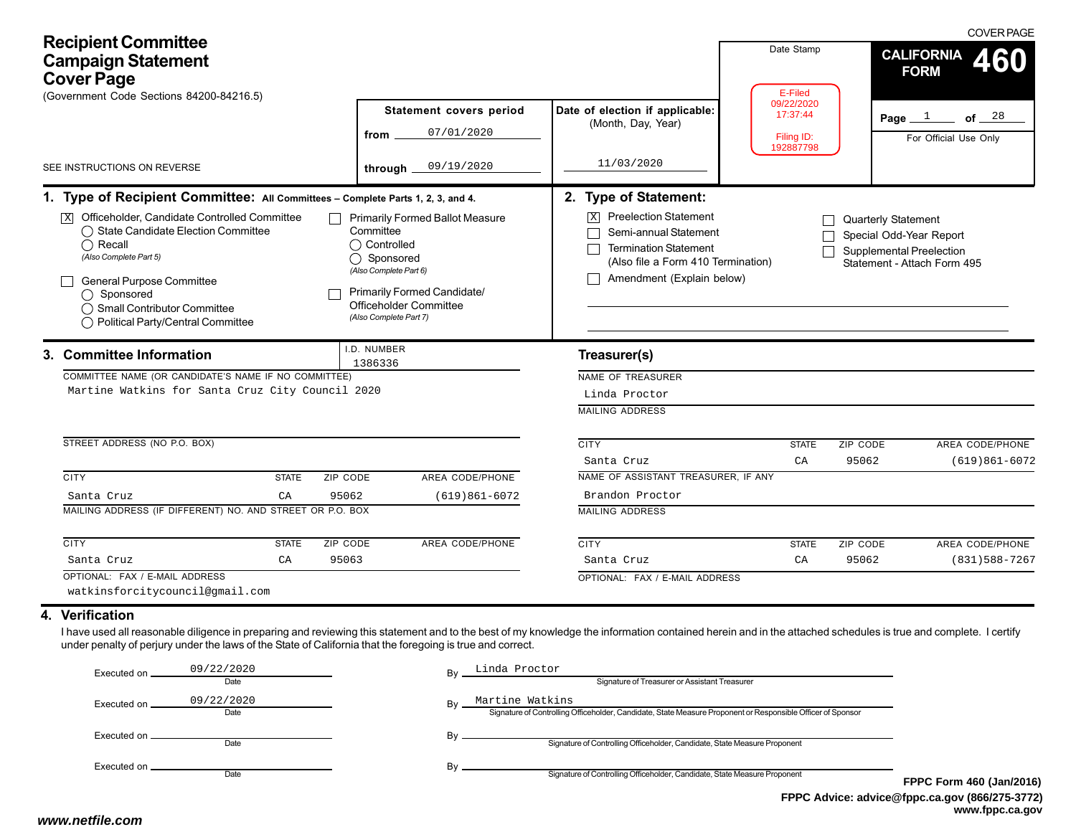| <b>Recipient Committee</b><br><b>Campaign Statement</b><br><b>Cover Page</b><br>(Government Code Sections 84200-84216.5)                                                                                                                                                                                                                                        |                                                                                                                                                                                                        |                                                                                                                                                                                                      | Date Stamp<br>E-Filed                             | <b>COVER PAGE</b><br><b>CALIFORNIA</b><br><b>FORM</b>                                                                   |
|-----------------------------------------------------------------------------------------------------------------------------------------------------------------------------------------------------------------------------------------------------------------------------------------------------------------------------------------------------------------|--------------------------------------------------------------------------------------------------------------------------------------------------------------------------------------------------------|------------------------------------------------------------------------------------------------------------------------------------------------------------------------------------------------------|---------------------------------------------------|-------------------------------------------------------------------------------------------------------------------------|
|                                                                                                                                                                                                                                                                                                                                                                 | <b>Statement covers period</b><br>07/01/2020<br>from                                                                                                                                                   | Date of election if applicable:<br>(Month, Day, Year)                                                                                                                                                | 09/22/2020<br>17:37:44<br>Filing ID:<br>192887798 | Page $1$ of $28$<br>For Official Use Only                                                                               |
| SEE INSTRUCTIONS ON REVERSE                                                                                                                                                                                                                                                                                                                                     | 09/19/2020<br>through $\_$                                                                                                                                                                             | 11/03/2020                                                                                                                                                                                           |                                                   |                                                                                                                         |
| 1. Type of Recipient Committee: All Committees - Complete Parts 1, 2, 3, and 4.<br>$\overline{X}$ Officeholder, Candidate Controlled Committee<br>◯ State Candidate Election Committee<br>$\bigcap$ Recall<br>(Also Complete Part 5)<br><b>General Purpose Committee</b><br>◯ Sponsored<br>◯ Small Contributor Committee<br>◯ Political Party/Central Committee | <b>Primarily Formed Ballot Measure</b><br>Committee<br>◯ Controlled<br>◯ Sponsored<br>(Also Complete Part 6)<br><b>Primarily Formed Candidate/</b><br>Officeholder Committee<br>(Also Complete Part 7) | 2. Type of Statement:<br><b>Preelection Statement</b><br>$\vert X \vert$<br>Semi-annual Statement<br><b>Termination Statement</b><br>(Also file a Form 410 Termination)<br>Amendment (Explain below) |                                                   | <b>Quarterly Statement</b><br>Special Odd-Year Report<br><b>Supplemental Preelection</b><br>Statement - Attach Form 495 |
| I.D. NUMBER<br>3. Committee Information<br>1386336<br>COMMITTEE NAME (OR CANDIDATE'S NAME IF NO COMMITTEE)<br>Martine Watkins for Santa Cruz City Council 2020<br>STREET ADDRESS (NO P.O. BOX)                                                                                                                                                                  |                                                                                                                                                                                                        | Treasurer(s)<br>NAME OF TREASURER<br>Linda Proctor<br><b>MAILING ADDRESS</b><br><b>CITY</b>                                                                                                          | <b>STATE</b>                                      | ZIP CODE<br>AREA CODE/PHONE                                                                                             |
| <b>CITY</b><br><b>STATE</b><br>ZIP CODE<br>95062<br>Santa Cruz<br>CA<br>MAILING ADDRESS (IF DIFFERENT) NO. AND STREET OR P.O. BOX                                                                                                                                                                                                                               | AREA CODE/PHONE<br>$(619)861-6072$                                                                                                                                                                     | Santa Cruz<br>NAME OF ASSISTANT TREASURER, IF ANY<br>Brandon Proctor<br><b>MAILING ADDRESS</b>                                                                                                       | CA                                                | 95062<br>$(619)861-6072$                                                                                                |
| <b>CITY</b><br>ZIP CODE<br><b>STATE</b><br>95063<br>Santa Cruz<br>CA<br>OPTIONAL: FAX / E-MAIL ADDRESS<br>watkinsforcitycouncil@gmail.com                                                                                                                                                                                                                       | AREA CODE/PHONE                                                                                                                                                                                        | <b>CITY</b><br>Santa Cruz<br>OPTIONAL: FAX / E-MAIL ADDRESS                                                                                                                                          | <b>STATE</b><br>CA                                | ZIP CODE<br>AREA CODE/PHONE<br>95062<br>$(831)588 - 7267$                                                               |
| 4. Verification<br>I have used all reasonable diligence in preparing and reviewing this statement and to the best of my knowledge the information contained herein and in the attached schedules is true and complete. I certify<br>under penalty of perjury under the laws of the State of California that the foregoing is true and correct.                  |                                                                                                                                                                                                        |                                                                                                                                                                                                      |                                                   |                                                                                                                         |
| 09/22/2020<br>Executed on _<br>Date<br>09/22/2020<br>Executed on _<br>Date                                                                                                                                                                                                                                                                                      | Linda Proctor<br>Martine Watkins                                                                                                                                                                       | Signature of Treasurer or Assistant Treasurer<br>Signature of Controlling Officeholder, Candidate, State Measure Proponent or Responsible Officer of Sponsor                                         |                                                   |                                                                                                                         |

| Executed on.  | 09/22/2020<br>Date | Bv | Linda Proctor<br>Signature of Treasurer or Assistant Treasurer                                                                 |                                 |
|---------------|--------------------|----|--------------------------------------------------------------------------------------------------------------------------------|---------------------------------|
| Executed on _ | 09/22/2020<br>Date | By | Martine Watkins<br>Signature of Controlling Officeholder, Candidate, State Measure Proponent or Responsible Officer of Sponsor |                                 |
| Executed on _ | Date               | Bv | Signature of Controlling Officeholder, Candidate, State Measure Proponent                                                      |                                 |
| Executed on _ | Date               | Bv | Signature of Controlling Officeholder, Candidate, State Measure Proponent                                                      | <b>FPPC Form 460 (Jan/2016)</b> |

**FPPC Advice: advice@fppc.ca.gov (866/275-3772) www.fppc.ca.gov**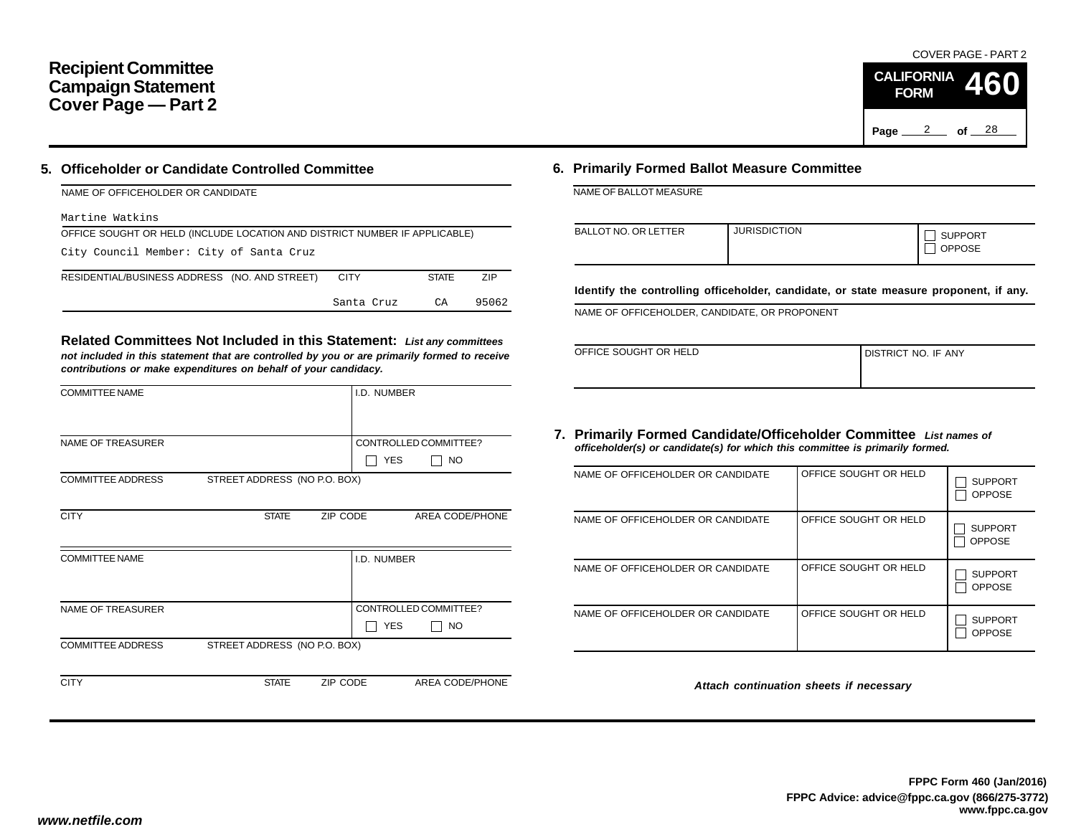## **Recipient Committee Campaign Statement Cover Page — Part 2**

### **5. Officeholder or Candidate Controlled Committee**

| NAME OF OFFICEHOLDER OR CANDIDATE                                          |              |       |
|----------------------------------------------------------------------------|--------------|-------|
| Martine Watkins                                                            |              |       |
| OFFICE SOUGHT OR HELD (INCLUDE LOCATION AND DISTRICT NUMBER IF APPLICABLE) |              |       |
| City Council Member: City of Santa Cruz                                    |              |       |
| RESIDENTIAL/BUSINESS ADDRESS (NO. AND STREET)<br><b>CITY</b>               | <b>STATE</b> | ZIP   |
| Santa Cruz                                                                 | CA           | 95062 |

**Related Committees Not Included in this Statement:** *List any committees not included in this statement that are controlled by you or are primarily formed to receive contributions or make expenditures on behalf of your candidacy.*

| <b>COMMITTEE NAME</b>    |                              |          | I.D. NUMBER |                       |
|--------------------------|------------------------------|----------|-------------|-----------------------|
|                          |                              |          |             |                       |
| <b>NAME OF TREASURER</b> |                              |          |             | CONTROLLED COMMITTEE? |
|                          |                              |          | <b>YES</b>  | <b>NO</b>             |
| <b>COMMITTEE ADDRESS</b> | STREET ADDRESS (NO P.O. BOX) |          |             |                       |
|                          |                              |          |             |                       |
| <b>CITY</b>              | <b>STATE</b>                 | ZIP CODE |             | AREA CODE/PHONE       |
|                          |                              |          |             |                       |
| <b>COMMITTEE NAME</b>    |                              |          | I.D. NUMBER |                       |
|                          |                              |          |             |                       |
|                          |                              |          |             |                       |
| NAME OF TREASURER        |                              |          |             | CONTROLLED COMMITTEE? |
|                          |                              |          | <b>YES</b>  | NO.                   |
| <b>COMMITTEE ADDRESS</b> | STREET ADDRESS (NO P.O. BOX) |          |             |                       |
|                          |                              |          |             |                       |
| <b>CITY</b>              | <b>STATE</b>                 | ZIP CODE |             | AREA CODE/PHONE       |
|                          |                              |          |             |                       |

## **6. Primarily Formed Ballot Measure Committee**

NAME OF BALLOT MEASURE

| BALLOT NO. OR LETTER | <b>JURISDICTION</b> | <b>SUPPORT</b><br><b>OPPOSE</b> |
|----------------------|---------------------|---------------------------------|
|----------------------|---------------------|---------------------------------|

**Identify the controlling officeholder, candidate, or state measure proponent, if any.**

NAME OF OFFICEHOLDER, CANDIDATE, OR PROPONENT

| OFFICE SOUGHT OR HELD | I DISTRICT NO. IF ANY |
|-----------------------|-----------------------|
|                       |                       |

#### **7. Primarily Formed Candidate/Officeholder Committee** *List names of officeholder(s) or candidate(s) for which this committee is primarily formed.*

| NAME OF OFFICEHOLDER OR CANDIDATE | OFFICE SOUGHT OR HELD | <b>SUPPORT</b><br><b>OPPOSE</b> |
|-----------------------------------|-----------------------|---------------------------------|
| NAME OF OFFICEHOLDER OR CANDIDATE | OFFICE SOUGHT OR HELD | <b>SUPPORT</b><br><b>OPPOSE</b> |
| NAME OF OFFICEHOLDER OR CANDIDATE | OFFICE SOUGHT OR HELD | <b>SUPPORT</b><br><b>OPPOSE</b> |
| NAME OF OFFICEHOLDER OR CANDIDATE | OFFICE SOUGHT OR HELD | <b>SUPPORT</b><br><b>OPPOSE</b> |

*Attach continuation sheets if necessary*

COVER PAGE - PART 2

**460**

Page <u>2</u> of 28

**CALIFORNIA FORM**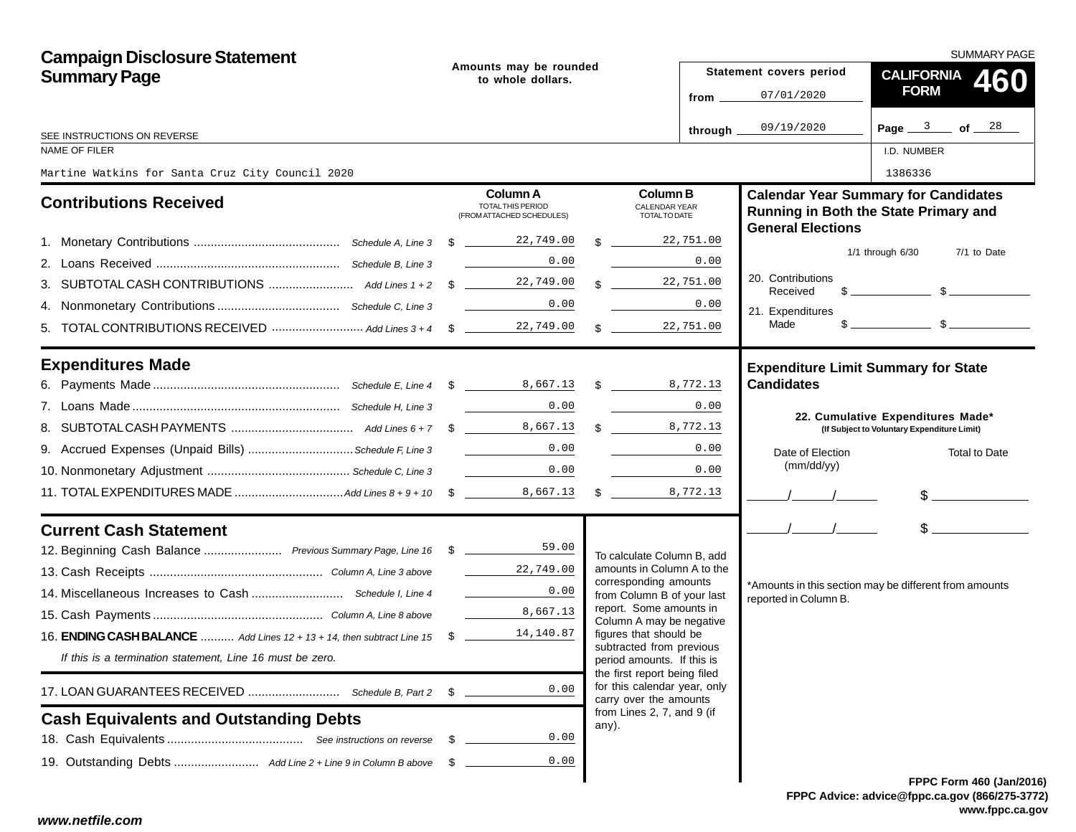| <b>Campaign Disclosure Statement</b><br><b>Summary Page</b>                     |      | Amounts may be rounded<br>to whole dollars.                |               |                                                                                        |                                  | <b>SUMMARY PAGE</b>                                             |                                                                                                                                                                                                                                                                                                                     |  |  |  |
|---------------------------------------------------------------------------------|------|------------------------------------------------------------|---------------|----------------------------------------------------------------------------------------|----------------------------------|-----------------------------------------------------------------|---------------------------------------------------------------------------------------------------------------------------------------------------------------------------------------------------------------------------------------------------------------------------------------------------------------------|--|--|--|
|                                                                                 |      |                                                            |               |                                                                                        |                                  | Statement covers period                                         | <b>CALIFORNIA</b><br>460                                                                                                                                                                                                                                                                                            |  |  |  |
|                                                                                 |      |                                                            |               |                                                                                        | from $\equiv$                    | 07/01/2020                                                      | <b>FORM</b>                                                                                                                                                                                                                                                                                                         |  |  |  |
| SEE INSTRUCTIONS ON REVERSE                                                     |      |                                                            |               |                                                                                        | through $\overline{\phantom{a}}$ | 09/19/2020                                                      | Page $3$ of $28$                                                                                                                                                                                                                                                                                                    |  |  |  |
| NAME OF FILER                                                                   |      |                                                            |               |                                                                                        |                                  |                                                                 | I.D. NUMBER                                                                                                                                                                                                                                                                                                         |  |  |  |
| Martine Watkins for Santa Cruz City Council 2020                                |      |                                                            |               |                                                                                        |                                  |                                                                 | 1386336                                                                                                                                                                                                                                                                                                             |  |  |  |
| <b>Contributions Received</b>                                                   |      | Column A<br>TOTAL THIS PERIOD<br>(FROM ATTACHED SCHEDULES) |               | <b>Column B</b><br><b>CALENDAR YEAR</b><br>TOTAL TO DATE                               |                                  | <b>General Elections</b>                                        | <b>Calendar Year Summary for Candidates</b><br>Running in Both the State Primary and                                                                                                                                                                                                                                |  |  |  |
|                                                                                 |      |                                                            | $\mathcal{L}$ |                                                                                        | 22,751.00                        |                                                                 |                                                                                                                                                                                                                                                                                                                     |  |  |  |
|                                                                                 |      | 0.00                                                       |               |                                                                                        | 0.00                             |                                                                 | $1/1$ through $6/30$<br>7/1 to Date                                                                                                                                                                                                                                                                                 |  |  |  |
|                                                                                 |      |                                                            |               | $\mathbf{\$}$                                                                          | 22,751.00                        | 20. Contributions<br>Received                                   | $\frac{1}{2}$ $\frac{1}{2}$ $\frac{1}{2}$ $\frac{1}{2}$ $\frac{1}{2}$ $\frac{1}{2}$ $\frac{1}{2}$ $\frac{1}{2}$ $\frac{1}{2}$ $\frac{1}{2}$ $\frac{1}{2}$ $\frac{1}{2}$ $\frac{1}{2}$ $\frac{1}{2}$ $\frac{1}{2}$ $\frac{1}{2}$ $\frac{1}{2}$ $\frac{1}{2}$ $\frac{1}{2}$ $\frac{1}{2}$ $\frac{1}{2}$ $\frac{1}{2}$ |  |  |  |
|                                                                                 |      | 0.00<br><b>Contract Contract Contract</b>                  |               |                                                                                        | 0.00                             | 21. Expenditures                                                |                                                                                                                                                                                                                                                                                                                     |  |  |  |
|                                                                                 |      |                                                            |               | $\mathbb{S}$                                                                           | 22,751.00                        | Made                                                            | $\frac{1}{2}$ $\frac{1}{2}$ $\frac{1}{2}$ $\frac{1}{2}$ $\frac{1}{2}$ $\frac{1}{2}$ $\frac{1}{2}$ $\frac{1}{2}$ $\frac{1}{2}$ $\frac{1}{2}$ $\frac{1}{2}$ $\frac{1}{2}$ $\frac{1}{2}$ $\frac{1}{2}$ $\frac{1}{2}$ $\frac{1}{2}$ $\frac{1}{2}$ $\frac{1}{2}$ $\frac{1}{2}$ $\frac{1}{2}$ $\frac{1}{2}$ $\frac{1}{2}$ |  |  |  |
| <b>Expenditures Made</b>                                                        |      |                                                            |               |                                                                                        |                                  | <b>Expenditure Limit Summary for State</b><br><b>Candidates</b> |                                                                                                                                                                                                                                                                                                                     |  |  |  |
|                                                                                 |      | 0.00                                                       |               |                                                                                        | 0.00                             |                                                                 |                                                                                                                                                                                                                                                                                                                     |  |  |  |
|                                                                                 |      |                                                            |               | \$ 8,772.13                                                                            |                                  |                                                                 | 22. Cumulative Expenditures Made*<br>(If Subject to Voluntary Expenditure Limit)                                                                                                                                                                                                                                    |  |  |  |
| 9. Accrued Expenses (Unpaid Bills)  Schedule F, Line 3                          |      | 0.00                                                       |               |                                                                                        | 0.00                             | Date of Election                                                | Total to Date                                                                                                                                                                                                                                                                                                       |  |  |  |
|                                                                                 |      | 0.00                                                       |               |                                                                                        | 0.00                             | (mm/dd/yy)                                                      |                                                                                                                                                                                                                                                                                                                     |  |  |  |
|                                                                                 |      |                                                            |               | 8,772.13                                                                               |                                  |                                                                 | $\frac{1}{2}$                                                                                                                                                                                                                                                                                                       |  |  |  |
| <b>Current Cash Statement</b>                                                   |      |                                                            |               |                                                                                        |                                  | $\frac{1}{2}$                                                   | $\sim$                                                                                                                                                                                                                                                                                                              |  |  |  |
|                                                                                 |      |                                                            |               | To calculate Column B, add                                                             |                                  |                                                                 |                                                                                                                                                                                                                                                                                                                     |  |  |  |
|                                                                                 |      | 22,749.00                                                  |               | amounts in Column A to the                                                             |                                  |                                                                 |                                                                                                                                                                                                                                                                                                                     |  |  |  |
|                                                                                 |      | 0.00                                                       |               | corresponding amounts<br>from Column B of your last                                    |                                  | reported in Column B.                                           | *Amounts in this section may be different from amounts                                                                                                                                                                                                                                                              |  |  |  |
|                                                                                 |      | 8,667.13                                                   |               | report. Some amounts in<br>Column A may be negative                                    |                                  |                                                                 |                                                                                                                                                                                                                                                                                                                     |  |  |  |
| 16. <b>ENDING CASH BALANCE</b> Add Lines 12 + 13 + 14, then subtract Line 15 \$ |      | 14,140.87                                                  |               | figures that should be                                                                 |                                  |                                                                 |                                                                                                                                                                                                                                                                                                                     |  |  |  |
| If this is a termination statement, Line 16 must be zero.                       |      |                                                            |               | subtracted from previous<br>period amounts. If this is                                 |                                  |                                                                 |                                                                                                                                                                                                                                                                                                                     |  |  |  |
|                                                                                 | S    | 0.00                                                       |               | the first report being filed<br>for this calendar year, only<br>carry over the amounts |                                  |                                                                 |                                                                                                                                                                                                                                                                                                                     |  |  |  |
| <b>Cash Equivalents and Outstanding Debts</b>                                   |      |                                                            |               | from Lines 2, 7, and 9 (if                                                             |                                  |                                                                 |                                                                                                                                                                                                                                                                                                                     |  |  |  |
|                                                                                 | - \$ | 0.00                                                       |               | any).                                                                                  |                                  |                                                                 |                                                                                                                                                                                                                                                                                                                     |  |  |  |
|                                                                                 | - \$ | 0.00                                                       |               |                                                                                        |                                  |                                                                 |                                                                                                                                                                                                                                                                                                                     |  |  |  |
|                                                                                 |      |                                                            |               |                                                                                        |                                  |                                                                 | <b>FPPC Form 460 (Jan/201)</b>                                                                                                                                                                                                                                                                                      |  |  |  |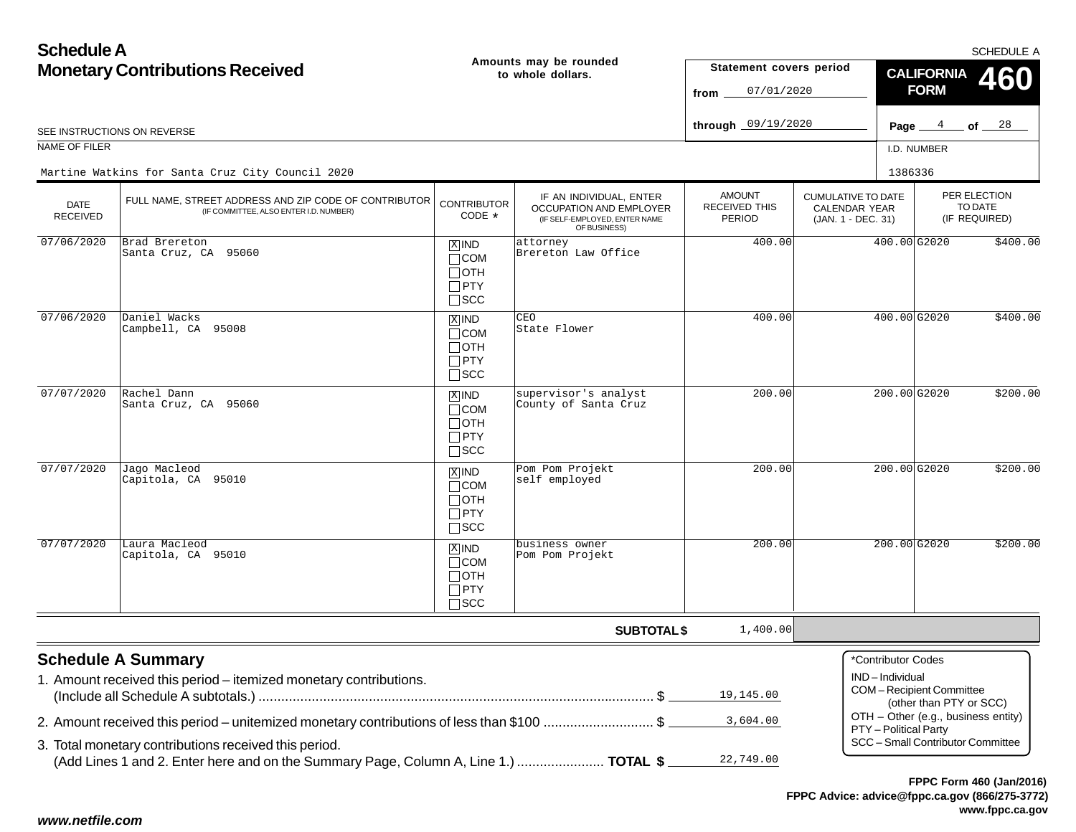**Schedule AMonetary Contributions Received Amounts may be rounded to whole dollars.**

SCHEDULE A

| <b>Monetary Contributions Received</b> |                                                                                                                                                   |                                                                    | Amounts may be rounded<br>to whole dollars.                                                                | Statement covers period<br>07/01/2020<br>from |                                                                         | <b>CALIFORNIA</b><br>460<br><b>FORM</b>                                  |                                          |  |  |
|----------------------------------------|---------------------------------------------------------------------------------------------------------------------------------------------------|--------------------------------------------------------------------|------------------------------------------------------------------------------------------------------------|-----------------------------------------------|-------------------------------------------------------------------------|--------------------------------------------------------------------------|------------------------------------------|--|--|
|                                        | SEE INSTRUCTIONS ON REVERSE                                                                                                                       |                                                                    |                                                                                                            | through 09/19/2020                            |                                                                         | Page $4$ of $28$                                                         |                                          |  |  |
| NAME OF FILER                          |                                                                                                                                                   |                                                                    |                                                                                                            |                                               |                                                                         | I.D. NUMBER                                                              |                                          |  |  |
|                                        | Martine Watkins for Santa Cruz City Council 2020                                                                                                  |                                                                    |                                                                                                            |                                               |                                                                         | 1386336                                                                  |                                          |  |  |
| <b>DATE</b><br><b>RECEIVED</b>         | FULL NAME, STREET ADDRESS AND ZIP CODE OF CONTRIBUTOR<br>(IF COMMITTEE, ALSO ENTER I.D. NUMBER)                                                   | <b>CONTRIBUTOR</b><br>CODE *                                       | IF AN INDIVIDUAL, ENTER<br><b>OCCUPATION AND EMPLOYER</b><br>(IF SELF-EMPLOYED, ENTER NAME<br>OF BUSINESS) | <b>AMOUNT</b><br>RECEIVED THIS<br>PERIOD      | <b>CUMULATIVE TO DATE</b><br><b>CALENDAR YEAR</b><br>(JAN. 1 - DEC. 31) |                                                                          | PER ELECTION<br>TO DATE<br>(IF REQUIRED) |  |  |
| 07/06/2020                             | Brad Brereton<br>Santa Cruz, CA 95060                                                                                                             | $X$ IND<br>$\Box$ COM<br>∏ОТН<br>$\Box$ PTY<br>$\square$ SCC       | attorney<br>Brereton Law Office                                                                            | 400.00                                        |                                                                         | 400.00 G2020                                                             | \$400.00                                 |  |  |
| 07/06/2020                             | Daniel Wacks<br>Campbell, CA 95008                                                                                                                | $X$ IND<br>$\Box$ COM<br>$\Box$ OTH<br>$\Box$ PTY<br>$\square$ SCC | CEO<br>State Flower                                                                                        | 400.00                                        |                                                                         | 400.00 G2020                                                             | \$400.00                                 |  |  |
| 07/07/2020                             | Rachel Dann<br>Santa Cruz, CA 95060                                                                                                               | $X$ IND<br>$\Box$ COM<br>∏отн<br>$\Box$ PTY<br>$\Box$ SCC          | supervisor's analyst<br>County of Santa Cruz                                                               | 200.00                                        |                                                                         | $200.00$ G2020                                                           | \$200.00                                 |  |  |
| 07/07/2020                             | Jago Macleod<br>Capitola, CA 95010                                                                                                                | $X$ IND<br>$\Box$ COM<br>$\Box$ OTH<br>$\Box$ PTY<br>$\square$ SCC | Pom Pom Projekt<br>self employed                                                                           | 200.00                                        |                                                                         | 200.00 G2020                                                             | \$200.00                                 |  |  |
| 07/07/2020                             | Laura Macleod<br>Capitola, CA 95010                                                                                                               | $X$ IND<br>$\Box$ COM<br>$\Box$ OTH<br>$\Box$ PTY<br>$\Box$ SCC    | business owner<br>Pom Pom Projekt                                                                          | 200.00                                        |                                                                         | 200.00 G2020                                                             | \$200.00                                 |  |  |
|                                        |                                                                                                                                                   |                                                                    | <b>SUBTOTAL \$</b>                                                                                         | 1,400.00                                      |                                                                         |                                                                          |                                          |  |  |
|                                        | <b>Schedule A Summary</b><br>1. Amount received this period – itemized monetary contributions.                                                    |                                                                    |                                                                                                            | 19,145.00                                     | *Contributor Codes<br>IND-Individual                                    | <b>COM-Recipient Committee</b><br>(other than PTY or SCC)                |                                          |  |  |
|                                        | 2. Amount received this period – unitemized monetary contributions of less than \$100 \$<br>3. Total monetary contributions received this period. |                                                                    |                                                                                                            | 3,604.00                                      | PTY - Political Party                                                   | OTH - Other (e.g., business entity)<br>SCC - Small Contributor Committee |                                          |  |  |
|                                        | (Add Lines 1 and 2. Enter here and on the Summary Page, Column A, Line 1.)  TOTAL \$                                                              |                                                                    |                                                                                                            | 22,749.00                                     |                                                                         |                                                                          |                                          |  |  |

## *www.netfile.com*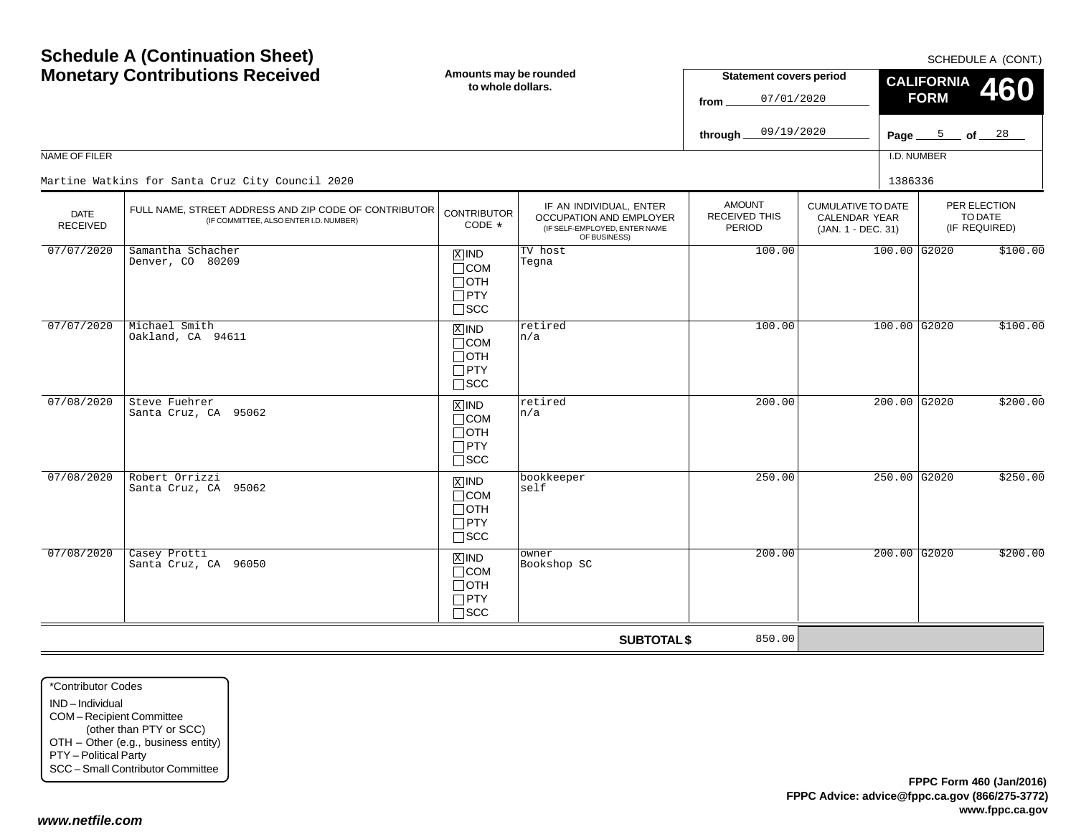| <b>Schedule A (Continuation Sheet)</b><br><b>Monetary Contributions Received</b><br>NAME OF FILER |                                                                                                                                                     | Amounts may be rounded<br>to whole dollars.                                       |                                                                                                     | <b>Statement covers period</b><br>07/01/2020<br>from<br>09/19/2020<br>through |                                                                         | SCHEDULE A (CONT.)<br><b>CALIFORNIA</b><br><b>460</b><br><b>FORM</b><br>Page $\frac{5}{2}$ of $\frac{28}{2}$<br>I.D. NUMBER |                                          |  |
|---------------------------------------------------------------------------------------------------|-----------------------------------------------------------------------------------------------------------------------------------------------------|-----------------------------------------------------------------------------------|-----------------------------------------------------------------------------------------------------|-------------------------------------------------------------------------------|-------------------------------------------------------------------------|-----------------------------------------------------------------------------------------------------------------------------|------------------------------------------|--|
| DATE<br><b>RECEIVED</b>                                                                           | Martine Watkins for Santa Cruz City Council 2020<br>FULL NAME, STREET ADDRESS AND ZIP CODE OF CONTRIBUTOR<br>(IF COMMITTEE, ALSO ENTER I.D. NUMBER) | <b>CONTRIBUTOR</b><br>CODE *                                                      | IF AN INDIVIDUAL, ENTER<br>OCCUPATION AND EMPLOYER<br>(IF SELF-EMPLOYED, ENTER NAME<br>OF BUSINESS) | <b>AMOUNT</b><br>RECEIVED THIS<br>PERIOD                                      | <b>CUMULATIVE TO DATE</b><br><b>CALENDAR YEAR</b><br>(JAN. 1 - DEC. 31) | 1386336                                                                                                                     | PER ELECTION<br>TO DATE<br>(IF REQUIRED) |  |
| 07/07/2020                                                                                        | Samantha Schacher<br>Denver, CO 80209                                                                                                               | $X$ IND<br>$\Box$ COM<br>$\Box$ OTH<br>$\Box$ PTY<br>$\square$ SCC                | TV host<br>Tegna                                                                                    | 100.00                                                                        |                                                                         | 100.00 G2020                                                                                                                | \$100.00                                 |  |
| 07/07/2020                                                                                        | Michael Smith<br>Oakland, CA 94611                                                                                                                  | $\boxed{\text{X}}$ IND<br>$\Box$ COM<br>$\Box$ OTH<br>$\Box$ PTY<br>$\square$ scc | retired<br>n/a                                                                                      | 100.00                                                                        |                                                                         | $100.00$ G2020                                                                                                              | \$100.00                                 |  |
| 07/08/2020                                                                                        | Steve Fuehrer<br>Santa Cruz, CA 95062                                                                                                               | $\overline{X}$ IND<br>$\Box$ COM<br>$\Box$ OTH<br>$\Box$ PTY<br>$\Box$ scc        | retired<br>n/a                                                                                      | 200.00                                                                        |                                                                         | $200.00$ G2020                                                                                                              | \$200.00                                 |  |
| 07/08/2020                                                                                        | Robert Orrizzi<br>Santa Cruz, CA 95062                                                                                                              | $\boxed{\text{X}}$ IND<br>$\Box$ COM<br>$\Box$ OTH<br>$\Box$ PTY<br>$\square$ scc | bookkeeper<br>self                                                                                  | 250.00                                                                        |                                                                         | 250.00 G2020                                                                                                                | \$250.00                                 |  |
| 07/08/2020                                                                                        | Casey Protti<br>Santa Cruz, CA 96050                                                                                                                | $X$ IND<br>$\Box$ COM<br>$\Box$ OTH<br>$\Box$ PTY<br>$\Box$ scc                   | owner<br>Bookshop SC                                                                                | 200.00                                                                        |                                                                         | $200.00$ G2020                                                                                                              | \$200.00                                 |  |
|                                                                                                   |                                                                                                                                                     |                                                                                   | <b>SUBTOTAL \$</b>                                                                                  | 850.00                                                                        |                                                                         |                                                                                                                             |                                          |  |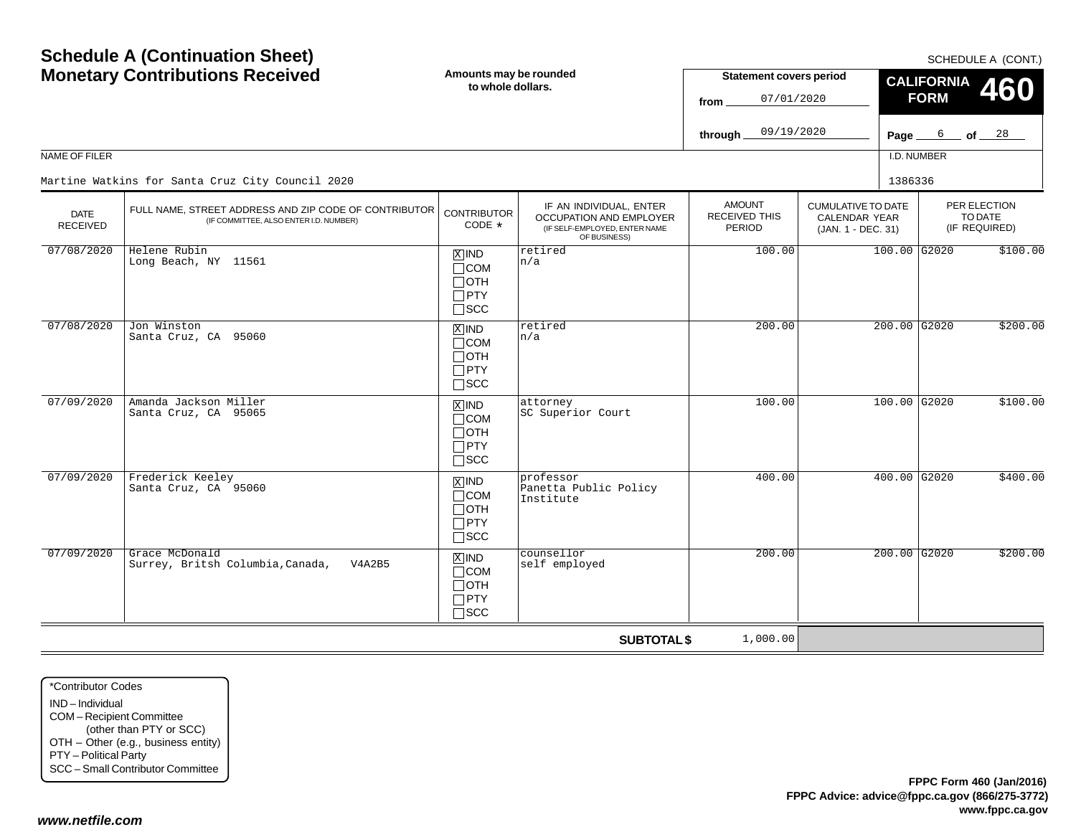| <b>Schedule A (Continuation Sheet)</b><br><b>Monetary Contributions Received</b><br>NAME OF FILER |                                                                                                 | Amounts may be rounded<br>to whole dollars.                                       |                                                                                                     | <b>Statement covers period</b><br>07/01/2020<br>from<br>09/19/2020<br>through |  |         | SCHEDULE A (CONT.)<br><b>CALIFORNIA</b><br>460<br><b>FORM</b><br>6 —<br>of <u>28</u><br>Page $\_$<br>I.D. NUMBER |                                                                         |  |                                          |
|---------------------------------------------------------------------------------------------------|-------------------------------------------------------------------------------------------------|-----------------------------------------------------------------------------------|-----------------------------------------------------------------------------------------------------|-------------------------------------------------------------------------------|--|---------|------------------------------------------------------------------------------------------------------------------|-------------------------------------------------------------------------|--|------------------------------------------|
|                                                                                                   | Martine Watkins for Santa Cruz City Council 2020                                                |                                                                                   |                                                                                                     |                                                                               |  | 1386336 |                                                                                                                  |                                                                         |  |                                          |
| <b>DATE</b><br><b>RECEIVED</b>                                                                    | FULL NAME, STREET ADDRESS AND ZIP CODE OF CONTRIBUTOR<br>(IF COMMITTEE, ALSO ENTER I.D. NUMBER) | <b>CONTRIBUTOR</b><br>CODE *                                                      | IF AN INDIVIDUAL, ENTER<br>OCCUPATION AND EMPLOYER<br>(IF SELF-EMPLOYED, ENTER NAME<br>OF BUSINESS) | <b>AMOUNT</b><br>RECEIVED THIS<br>PERIOD                                      |  |         |                                                                                                                  | <b>CUMULATIVE TO DATE</b><br><b>CALENDAR YEAR</b><br>(JAN. 1 - DEC. 31) |  | PER ELECTION<br>TO DATE<br>(IF REQUIRED) |
| 07/08/2020                                                                                        | Helene Rubin<br>Long Beach, NY 11561                                                            | $\overline{X}$ IND<br>$\Box$ COM<br>$\Box$ OTH<br>$\Box$ PTY<br>$\Box$ scc        | retired<br>n/a                                                                                      | 100.00                                                                        |  |         | $100.00$ G2020                                                                                                   | \$100.00                                                                |  |                                          |
| 07/08/2020                                                                                        | Jon Winston<br>Santa Cruz, CA 95060                                                             | $X$ IND<br>$\Box$ COM<br>$\Box$ OTH<br>$\Box$ PTY<br>$\square$ scc                | retired<br>n/a                                                                                      | 200.00                                                                        |  |         | 200.00 G2020                                                                                                     | \$200.00                                                                |  |                                          |
| 07/09/2020                                                                                        | Amanda Jackson Miller<br>Santa Cruz, CA 95065                                                   | $\overline{X}$ IND<br>$\Box$ COM<br>$\Box$ OTH<br>$\Box$ PTY<br>$\Box$ scc        | attorney<br>SC Superior Court                                                                       | 100.00                                                                        |  |         | 100.00 G2020                                                                                                     | \$100.00                                                                |  |                                          |
| 07/09/2020                                                                                        | Frederick Keeley<br>Santa Cruz, CA 95060                                                        | $\boxed{\text{X}}$ IND<br>$\Box$ COM<br>$\Box$ OTH<br>$\Box$ PTY<br>$\square$ scc | professor<br>Panetta Public Policy<br>Institute                                                     | 400.00                                                                        |  |         | $400.00$ G2020                                                                                                   | \$400.00                                                                |  |                                          |
| 07/09/2020                                                                                        | Grace McDonald<br>Surrey, Britsh Columbia, Canada,<br>V4A2B5                                    | $X$ IND<br>$\Box$ COM<br>$\Box$ OTH<br>$\Box$ PTY<br>$\Box$ SCC                   | counsellor<br>self employed                                                                         | 200.00                                                                        |  |         | $200.00$ G2020                                                                                                   | \$200.00                                                                |  |                                          |
|                                                                                                   |                                                                                                 |                                                                                   | <b>SUBTOTAL \$</b>                                                                                  | 1,000.00                                                                      |  |         |                                                                                                                  |                                                                         |  |                                          |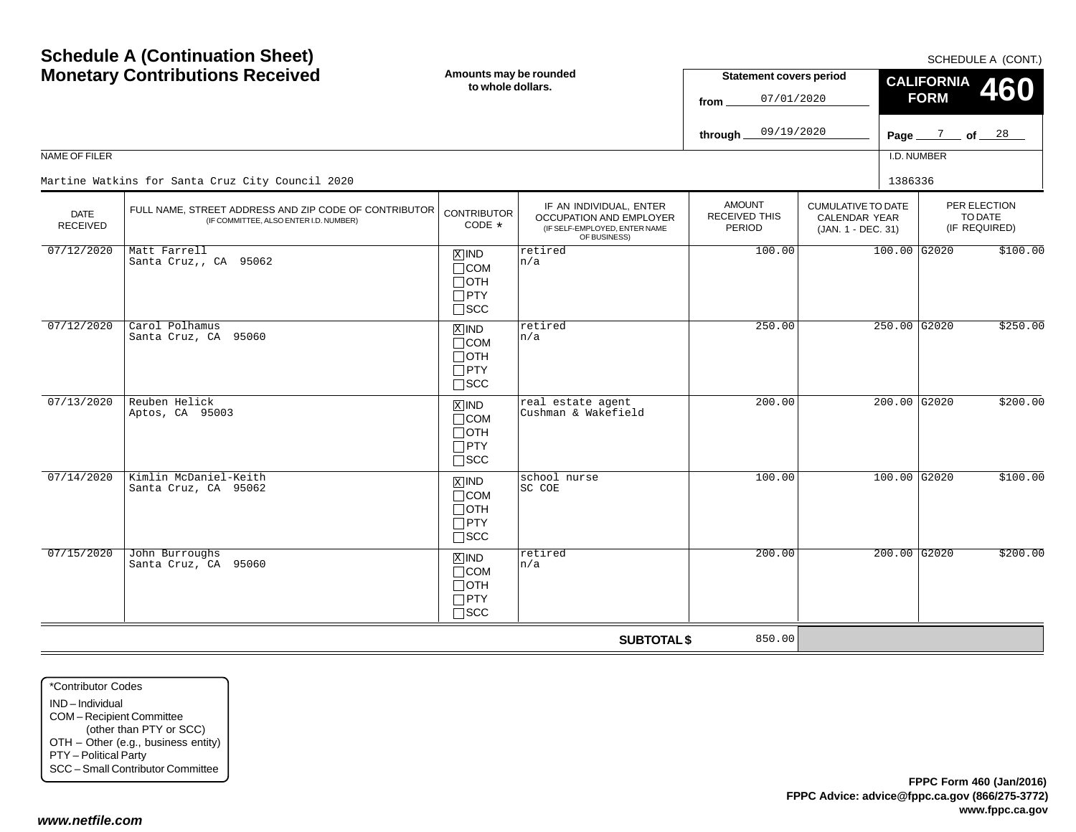$SCHFDUI F A (CONT)$ 

| <b>Monetary Contributions Received</b> |                                                                                                 | Amounts may be rounded<br>to whole dollars.                                   |                                                                                                     | <b>Statement covers period</b><br>07/01/2020<br>from   |                                                                  | <b>CALIFORNIA</b><br>460<br><b>FORM</b> |  |                                          |  |
|----------------------------------------|-------------------------------------------------------------------------------------------------|-------------------------------------------------------------------------------|-----------------------------------------------------------------------------------------------------|--------------------------------------------------------|------------------------------------------------------------------|-----------------------------------------|--|------------------------------------------|--|
|                                        |                                                                                                 |                                                                               |                                                                                                     | 09/19/2020<br>through.                                 |                                                                  |                                         |  | Page $\frac{7}{2}$ of $\frac{28}{2}$     |  |
| NAME OF FILER                          |                                                                                                 |                                                                               |                                                                                                     |                                                        |                                                                  | I.D. NUMBER                             |  |                                          |  |
|                                        | Martine Watkins for Santa Cruz City Council 2020                                                |                                                                               |                                                                                                     |                                                        |                                                                  | 1386336                                 |  |                                          |  |
| <b>DATE</b><br><b>RECEIVED</b>         | FULL NAME, STREET ADDRESS AND ZIP CODE OF CONTRIBUTOR<br>(IF COMMITTEE, ALSO ENTER I.D. NUMBER) | <b>CONTRIBUTOR</b><br>CODE *                                                  | IF AN INDIVIDUAL, ENTER<br>OCCUPATION AND EMPLOYER<br>(IF SELF-EMPLOYED, ENTER NAME<br>OF BUSINESS) | <b>AMOUNT</b><br><b>RECEIVED THIS</b><br><b>PERIOD</b> | <b>CUMULATIVE TO DATE</b><br>CALENDAR YEAR<br>(JAN. 1 - DEC. 31) |                                         |  | PER ELECTION<br>TO DATE<br>(IF REQUIRED) |  |
| 07/12/2020                             | Matt Farrell<br>Santa Cruz,, CA 95062                                                           | $X$ IND<br>$\Box$ COM<br>$\Box$ OTH<br>$\Box$ PTY<br>$\square$ SCC            | retired<br>n/a                                                                                      | 100.00                                                 |                                                                  | $100.00$ G2020                          |  | \$100.00                                 |  |
| 07/12/2020                             | Carol Polhamus<br>Santa Cruz, CA 95060                                                          | $\overline{X}$ IND<br>$\Box$ COM<br>$\Box$ OTH<br>$\Box$ PTY<br>$\square$ SCC | retired<br>n/a                                                                                      | 250.00                                                 |                                                                  | 250.00 G2020                            |  | \$250.00                                 |  |
| 07/13/2020                             | Reuben Helick<br>Aptos, CA 95003                                                                | $X$ IND<br>$\Box$ COM<br>$\Box$ OTH<br>$\Box$ PTY<br>$\square$ SCC            | real estate agent<br>Cushman & Wakefield                                                            | 200.00                                                 |                                                                  | $200.00$ G2020                          |  | \$200.00                                 |  |
| 07/14/2020                             | Kimlin McDaniel-Keith<br>Santa Cruz, CA 95062                                                   | $\overline{X}$ IND<br>$\Box$ COM<br>$\Box$ OTH<br>$\Box$ PTY<br>$\Box$ SCC    | school nurse<br>SC COE                                                                              | 100.00                                                 |                                                                  | $100.00$ G2020                          |  | \$100.00                                 |  |
| 07/15/2020                             | John Burroughs<br>Santa Cruz, CA 95060                                                          | $X$ IND<br>$\Box$ COM<br>$\Box$ OTH<br>$\Box$ PTY<br>$\Box$ scc               | retired<br>n/a                                                                                      | 200.00                                                 |                                                                  | $200.00$ G2020                          |  | \$200.00                                 |  |
|                                        |                                                                                                 |                                                                               | <b>SUBTOTAL \$</b>                                                                                  | 850.00                                                 |                                                                  |                                         |  |                                          |  |

\*Contributor CodesIND – IndividualCOM – Recipient Committee (other than PTY or SCC) OTH – Other (e.g., business entity) PTY – Political Party SCC – Small Contributor Committee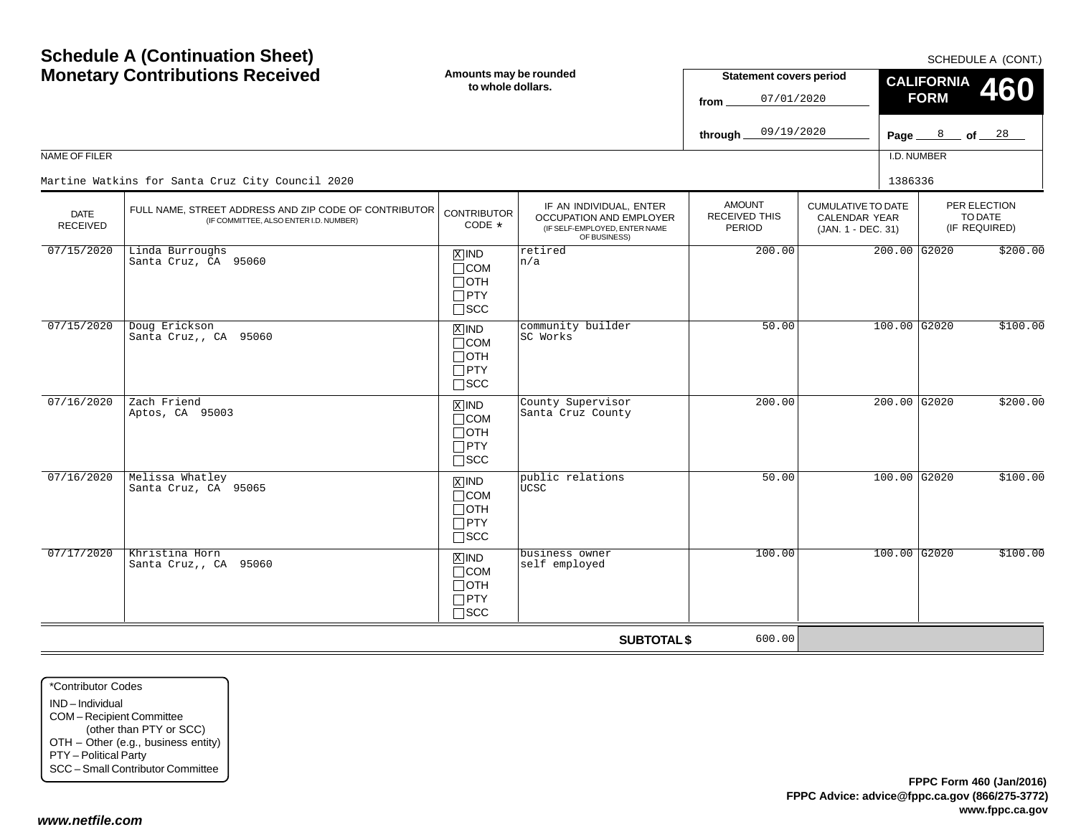| <b>Schedule A (Continuation Sheet)</b><br><b>Monetary Contributions Received</b><br><b>NAME OF FILER</b><br>Martine Watkins for Santa Cruz City Council 2020 |                                                                                                 | Amounts may be rounded<br>to whole dollars.                                       |                                                                                                     | <b>Statement covers period</b><br>07/01/2020<br>from<br>09/19/2020<br>through. |                                                                         | SCHEDULE A (CONT.)<br><b>CALIFORNIA</b><br><b>460</b><br><b>FORM</b><br>8<br>of <u>28</u><br>Page $\equiv$<br>I.D. NUMBER |                                          |
|--------------------------------------------------------------------------------------------------------------------------------------------------------------|-------------------------------------------------------------------------------------------------|-----------------------------------------------------------------------------------|-----------------------------------------------------------------------------------------------------|--------------------------------------------------------------------------------|-------------------------------------------------------------------------|---------------------------------------------------------------------------------------------------------------------------|------------------------------------------|
| DATE<br><b>RECEIVED</b>                                                                                                                                      | FULL NAME, STREET ADDRESS AND ZIP CODE OF CONTRIBUTOR<br>(IF COMMITTEE, ALSO ENTER I.D. NUMBER) | <b>CONTRIBUTOR</b><br>CODE *                                                      | IF AN INDIVIDUAL, ENTER<br>OCCUPATION AND EMPLOYER<br>(IF SELF-EMPLOYED, ENTER NAME<br>OF BUSINESS) | <b>AMOUNT</b><br>RECEIVED THIS<br>PERIOD                                       | <b>CUMULATIVE TO DATE</b><br><b>CALENDAR YEAR</b><br>(JAN. 1 - DEC. 31) | 1386336                                                                                                                   | PER ELECTION<br>TO DATE<br>(IF REQUIRED) |
| 07/15/2020                                                                                                                                                   | Linda Burroughs<br>Santa Cruz, CA 95060                                                         | $X$ IND<br>$\Box$ COM<br>$\Box$ OTH<br>$\Box$ PTY<br>$\Box$ SCC                   | retired<br>n/a                                                                                      | 200.00                                                                         |                                                                         | $200.00$ G2020                                                                                                            | \$200.00                                 |
| 07/15/2020                                                                                                                                                   | Doug Erickson<br>Santa Cruz,, CA 95060                                                          | $\boxed{\text{X}}$ IND<br>$\Box$ COM<br>$\Box$ OTH<br>$\Box$ PTY<br>$\square$ scc | community builder<br>SC Works                                                                       | 50.00                                                                          |                                                                         | $100.00$ G2020                                                                                                            | \$100.00                                 |
| 07/16/2020                                                                                                                                                   | Zach Friend<br>Aptos, CA 95003                                                                  | $\overline{X}$ IND<br>$\Box$ COM<br>$\Box$ OTH<br>$\Box$ PTY<br>$\Box$ scc        | County Supervisor<br>Santa Cruz County                                                              | 200.00                                                                         |                                                                         | $200.00$ G2020                                                                                                            | \$200.00                                 |
| 07/16/2020                                                                                                                                                   | Melissa Whatley<br>Santa Cruz, CA 95065                                                         | $\boxed{\text{X}}$ IND<br>$\Box$ COM<br>$\Box$ OTH<br>$\Box$ PTY<br>$\square$ scc | public relations<br><b>UCSC</b>                                                                     | 50.00                                                                          |                                                                         | 100.00 G2020                                                                                                              | \$100.00                                 |
| 07/17/2020                                                                                                                                                   | Khristina Horn<br>Santa Cruz,, CA 95060                                                         | $X$ IND<br>$\Box$ COM<br>$\Box$ OTH<br>$\Box$ PTY<br>$\Box$ SCC                   | business owner<br>self employed                                                                     | 100.00                                                                         |                                                                         | $100.00$ G2020                                                                                                            | \$100.00                                 |
|                                                                                                                                                              |                                                                                                 |                                                                                   | <b>SUBTOTAL \$</b>                                                                                  | 600.00                                                                         |                                                                         |                                                                                                                           |                                          |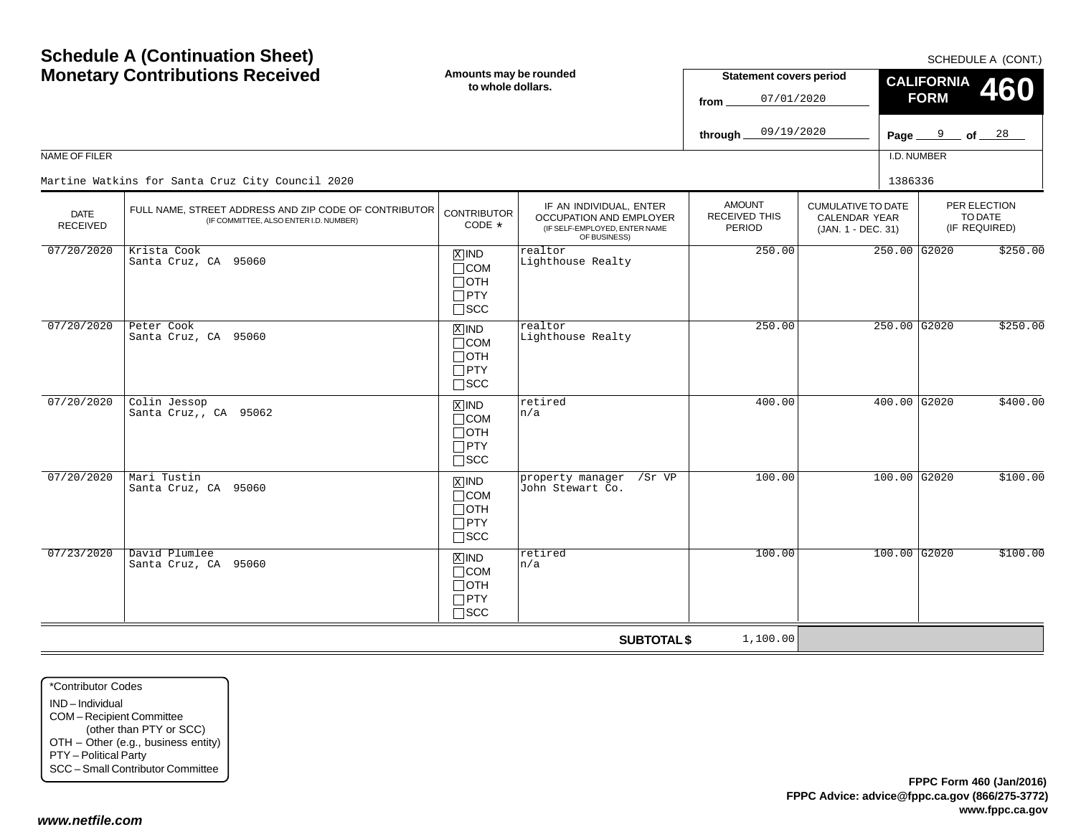| <b>Schedule A (Continuation Sheet)</b><br><b>Monetary Contributions Received</b><br>NAME OF FILER |                                                                                                 | Amounts may be rounded<br>to whole dollars.                                   |                                                                                                     | <b>Statement covers period</b><br>07/01/2020<br>from<br>09/19/2020<br>through |                                                                  | SCHEDULE A (CONT.)<br><b>CALIFORNIA</b><br>460<br><b>FORM</b><br>Page $9$ of $28$<br>I.D. NUMBER |                                          |  |
|---------------------------------------------------------------------------------------------------|-------------------------------------------------------------------------------------------------|-------------------------------------------------------------------------------|-----------------------------------------------------------------------------------------------------|-------------------------------------------------------------------------------|------------------------------------------------------------------|--------------------------------------------------------------------------------------------------|------------------------------------------|--|
|                                                                                                   | Martine Watkins for Santa Cruz City Council 2020                                                |                                                                               |                                                                                                     |                                                                               |                                                                  | 1386336                                                                                          |                                          |  |
| <b>DATE</b><br><b>RECEIVED</b>                                                                    | FULL NAME, STREET ADDRESS AND ZIP CODE OF CONTRIBUTOR<br>(IF COMMITTEE, ALSO ENTER I.D. NUMBER) | <b>CONTRIBUTOR</b><br>CODE *                                                  | IF AN INDIVIDUAL, ENTER<br>OCCUPATION AND EMPLOYER<br>(IF SELF-EMPLOYED, ENTER NAME<br>OF BUSINESS) | <b>AMOUNT</b><br><b>RECEIVED THIS</b><br><b>PERIOD</b>                        | <b>CUMULATIVE TO DATE</b><br>CALENDAR YEAR<br>(JAN. 1 - DEC. 31) |                                                                                                  | PER ELECTION<br>TO DATE<br>(IF REQUIRED) |  |
| 07/20/2020                                                                                        | Krista Cook<br>Santa Cruz, CA 95060                                                             | $X$ IND<br>$\Box$ COM<br>⊟отн<br>$\Box$ PTY<br>$\square$ SCC                  | realtor<br>Lighthouse Realty                                                                        | 250.00                                                                        |                                                                  | $250.00$ G2020                                                                                   | \$250.00                                 |  |
| 07/20/2020                                                                                        | Peter Cook<br>Santa Cruz, CA 95060                                                              | $X$ IND<br>$\Box$ COM<br>$\Box$ oth<br>$\Box$ PTY<br>$\Box$ scc               | realtor<br>Lighthouse Realty                                                                        | 250.00                                                                        |                                                                  | $250.00$ G2020                                                                                   | \$250.00                                 |  |
| 07/20/2020                                                                                        | Colin Jessop<br>Santa Cruz,, CA 95062                                                           | $X$ IND<br>$\sqcap$ COM<br>$\Box$ OTH<br>$\Box$ PTY<br>$\sqcap$ scc           | retired<br>n/a                                                                                      | 400.00                                                                        |                                                                  | $400.00$ G2020                                                                                   | \$400.00                                 |  |
| 07/20/2020                                                                                        | Mari Tustin<br>Santa Cruz, CA 95060                                                             | $\overline{X}$ IND<br>$\Box$ COM<br>$\Box$ oth<br>$\Box$ PTY<br>$\square$ scc | property manager<br>/Sr VP<br>John Stewart Co.                                                      | 100.00                                                                        |                                                                  | $100.00$ G2020                                                                                   | \$100.00                                 |  |
| 07/23/2020                                                                                        | David Plumlee<br>Santa Cruz, CA 95060                                                           | $X$ IND<br>$\Box$ COM<br>$\Box$ oth<br>$\Box$ PTY<br>$\sqcap$ scc             | retired<br>n/a                                                                                      | 100.00                                                                        |                                                                  | $100.00$ G <sub>2020</sub>                                                                       | \$100.00                                 |  |
|                                                                                                   |                                                                                                 |                                                                               | <b>SUBTOTAL \$</b>                                                                                  | 1,100.00                                                                      |                                                                  |                                                                                                  |                                          |  |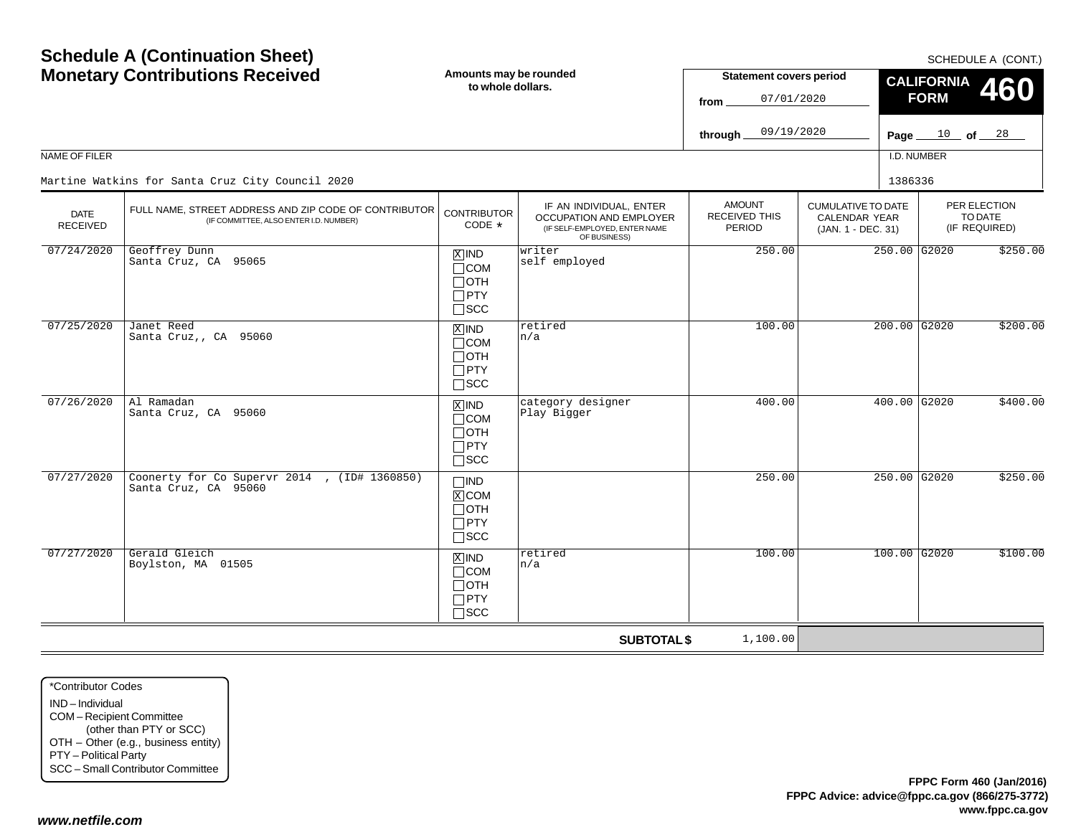|                                | <b>Schedule A (Continuation Sheet)</b><br><b>Monetary Contributions Received</b>                |                                                                                 | Amounts may be rounded<br>to whole dollars.                                                         |                                                 | <b>Statement covers period</b><br>07/01/2020                            | SCHEDULE A (CONT.)<br><b>CALIFORNIA</b><br><b>460</b><br><b>FORM</b> |                                          |  |  |
|--------------------------------|-------------------------------------------------------------------------------------------------|---------------------------------------------------------------------------------|-----------------------------------------------------------------------------------------------------|-------------------------------------------------|-------------------------------------------------------------------------|----------------------------------------------------------------------|------------------------------------------|--|--|
|                                |                                                                                                 |                                                                                 |                                                                                                     | 09/19/2020<br>through.                          |                                                                         |                                                                      | Page $10$ of $28$                        |  |  |
| NAME OF FILER                  |                                                                                                 |                                                                                 |                                                                                                     |                                                 |                                                                         | I.D. NUMBER                                                          |                                          |  |  |
|                                | Martine Watkins for Santa Cruz City Council 2020                                                |                                                                                 |                                                                                                     |                                                 |                                                                         | 1386336                                                              |                                          |  |  |
| <b>DATE</b><br><b>RECEIVED</b> | FULL NAME, STREET ADDRESS AND ZIP CODE OF CONTRIBUTOR<br>(IF COMMITTEE, ALSO ENTER I.D. NUMBER) | <b>CONTRIBUTOR</b><br>CODE *                                                    | IF AN INDIVIDUAL, ENTER<br>OCCUPATION AND EMPLOYER<br>(IF SELF-EMPLOYED, ENTER NAME<br>OF BUSINESS) | <b>AMOUNT</b><br><b>RECEIVED THIS</b><br>PERIOD | <b>CUMULATIVE TO DATE</b><br><b>CALENDAR YEAR</b><br>(JAN. 1 - DEC. 31) |                                                                      | PER ELECTION<br>TO DATE<br>(IF REQUIRED) |  |  |
| 07/24/2020                     | Geoffrey Dunn<br>Santa Cruz, CA 95065                                                           | $\overline{X}$ IND<br>$\Box$ COM<br>$\Box$ OTH<br>$\Box$ PTY<br>$\Box$ scc      | writer<br>self employed                                                                             | 250.00                                          |                                                                         | $250.00$ G2020                                                       | \$250.00                                 |  |  |
| 07/25/2020                     | Janet Reed<br>Santa Cruz,, CA 95060                                                             | $\overline{X}$ IND<br>$\sqcap$ COM<br>$\Box$ oth<br>$\Box$ PTY<br>$\square$ scc | retired<br>n/a                                                                                      | 100.00                                          |                                                                         | $200.00$ G2020                                                       | \$200.00                                 |  |  |
| 07/26/2020                     | Al Ramadan<br>Santa Cruz, CA 95060                                                              | $X$ IND<br>$\Box$ COM<br>$\sqcap$ OTH<br>$\Box$ PTY<br>$\square$ SCC            | category designer<br>Play Bigger                                                                    | 400.00                                          |                                                                         | $400.00$ G2020                                                       | \$400.00                                 |  |  |
| 07/27/2020                     | Coonerty for Co Supervr 2014, (ID# 1360850)<br>Santa Cruz, CA 95060                             | $\square$ IND<br>$X$ COM<br>$\sqcap$ OTH<br>$\Box$ PTY<br>$\Box$ SCC            |                                                                                                     | 250.00                                          |                                                                         | $250.00$ G2020                                                       | \$250.00                                 |  |  |
| 07/27/2020                     | Gerald Gleich<br>Boylston, MA 01505                                                             | $X$ IND<br>$\Box$ COM<br>$\Box$ OTH<br>$\Box$ PTY<br>$\Box$ scc                 | retired<br>n/a                                                                                      | 100.00                                          |                                                                         | $100.00$ G2020                                                       | \$100.00                                 |  |  |
|                                |                                                                                                 |                                                                                 | <b>SUBTOTAL \$</b>                                                                                  | 1,100.00                                        |                                                                         |                                                                      |                                          |  |  |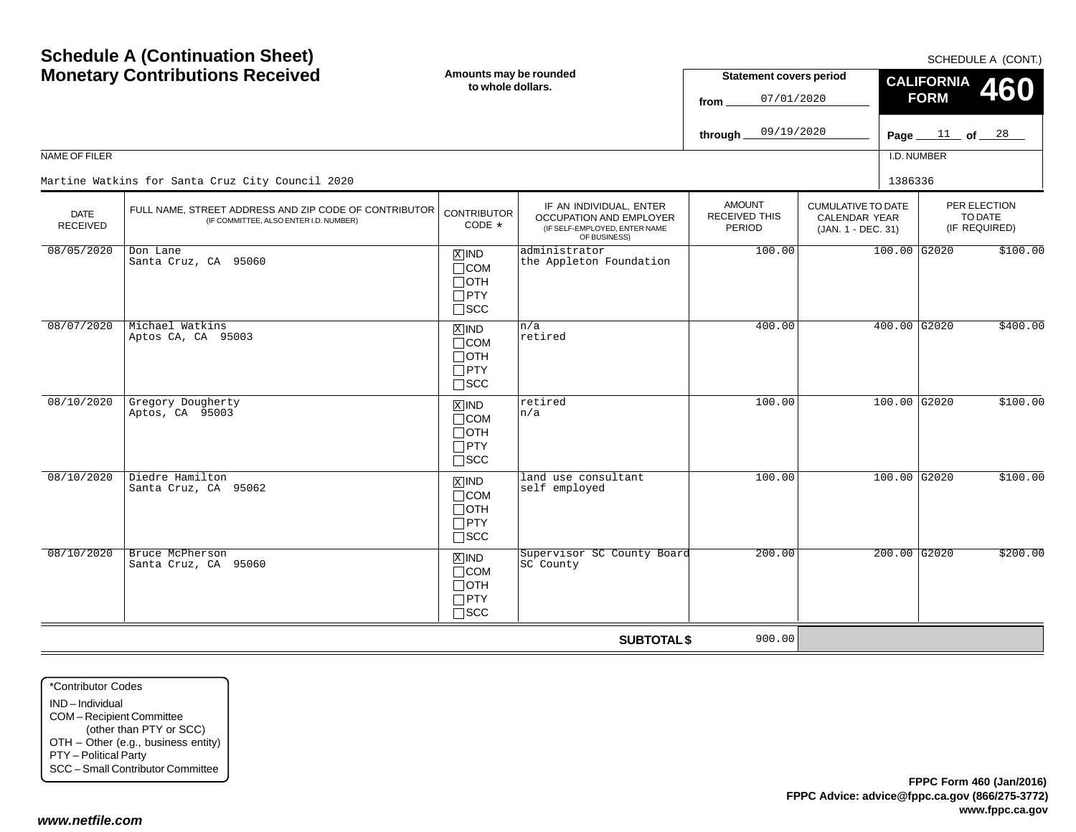|                                | <b>Schedule A (Continuation Sheet)</b><br><b>Monetary Contributions Received</b>                |                                                                      | Amounts may be rounded<br>to whole dollars.                                                         |                                                 | <b>Statement covers period</b><br>07/01/2020                            | SCHEDULE A (CONT.)<br><b>CALIFORNIA</b><br>460<br><b>FORM</b> |                   |                                          |
|--------------------------------|-------------------------------------------------------------------------------------------------|----------------------------------------------------------------------|-----------------------------------------------------------------------------------------------------|-------------------------------------------------|-------------------------------------------------------------------------|---------------------------------------------------------------|-------------------|------------------------------------------|
|                                |                                                                                                 |                                                                      |                                                                                                     | 09/19/2020<br>through                           |                                                                         |                                                               | Page $11$ of $28$ |                                          |
| <b>NAME OF FILER</b>           |                                                                                                 |                                                                      |                                                                                                     |                                                 |                                                                         | I.D. NUMBER                                                   |                   |                                          |
|                                | Martine Watkins for Santa Cruz City Council 2020                                                |                                                                      |                                                                                                     |                                                 |                                                                         | 1386336                                                       |                   |                                          |
| <b>DATE</b><br><b>RECEIVED</b> | FULL NAME, STREET ADDRESS AND ZIP CODE OF CONTRIBUTOR<br>(IF COMMITTEE, ALSO ENTER I.D. NUMBER) | <b>CONTRIBUTOR</b><br>CODE *                                         | IF AN INDIVIDUAL, ENTER<br>OCCUPATION AND EMPLOYER<br>(IF SELF-EMPLOYED, ENTER NAME<br>OF BUSINESS) | <b>AMOUNT</b><br><b>RECEIVED THIS</b><br>PERIOD | <b>CUMULATIVE TO DATE</b><br><b>CALENDAR YEAR</b><br>(JAN. 1 - DEC. 31) |                                                               |                   | PER ELECTION<br>TO DATE<br>(IF REQUIRED) |
| 08/05/2020                     | Don Lane<br>Santa Cruz, CA 95060<br>Michael Watkins                                             |                                                                      | administrator<br>the Appleton Foundation                                                            | 100.00                                          |                                                                         | 100.00 G2020                                                  |                   | \$100.00                                 |
| 08/07/2020                     | Aptos CA, CA 95003                                                                              | $X$ IND<br>$\sqcap$ COM<br>$\Box$ OTH<br>$\Box$ PTY<br>$\Box$ scc    | n/a<br>retired                                                                                      | 400.00                                          |                                                                         | 400.00 G2020                                                  |                   | \$400.00                                 |
| 08/10/2020                     | Gregory Dougherty<br>Aptos, CA 95003                                                            | $X$ IND<br>$\sqcap$ COM<br>$\Box$ OTH<br>$\Box$ PTY<br>$\Box$ scc    | retired<br>n/a                                                                                      | 100.00                                          |                                                                         | 100.00 G2020                                                  |                   | \$100.00                                 |
| 08/10/2020                     | Diedre Hamilton<br>Santa Cruz, CA 95062                                                         | $X$ IND<br>$\sqcap$ COM<br>$\Box$ OTH<br>$\Box$ PTY<br>$\square$ SCC | land use consultant<br>self employed                                                                | 100.00                                          |                                                                         | $100.00$ G2020                                                |                   | \$100.00                                 |
| 08/10/2020                     | Bruce McPherson<br>Santa Cruz, CA 95060                                                         | $X$ IND<br>$\sqcap$ COM<br>$\Box$ OTH<br>$\Box$ PTY<br>$\sqcap$ scc  | Supervisor SC County Board<br>SC County                                                             | 200.00                                          |                                                                         | $200.00$ G2020                                                |                   | \$200.00                                 |
|                                |                                                                                                 |                                                                      | <b>SUBTOTAL \$</b>                                                                                  | 900.00                                          |                                                                         |                                                               |                   |                                          |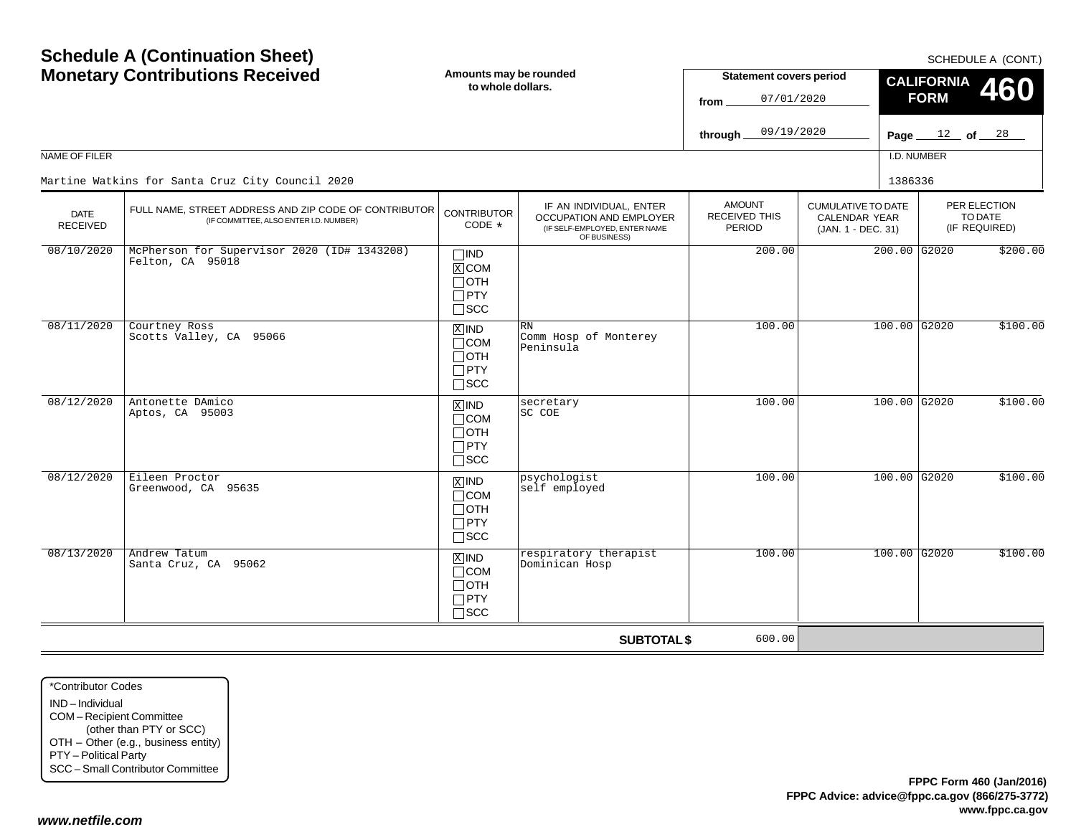| <b>Schedule A (Continuation Sheet)</b><br><b>Monetary Contributions Received</b> |                                                                                                                                                     | Amounts may be rounded<br>to whole dollars.                                   |                                                                                                            | <b>Statement covers period</b><br>07/01/2020<br>from<br>09/19/2020<br>through |                                                                  | SCHEDULE A (CONT.)<br><b>CALIFORNIA</b><br>460<br><b>FORM</b><br>Page $12$ of $28$ |                                          |  |
|----------------------------------------------------------------------------------|-----------------------------------------------------------------------------------------------------------------------------------------------------|-------------------------------------------------------------------------------|------------------------------------------------------------------------------------------------------------|-------------------------------------------------------------------------------|------------------------------------------------------------------|------------------------------------------------------------------------------------|------------------------------------------|--|
| NAME OF FILER                                                                    |                                                                                                                                                     |                                                                               |                                                                                                            |                                                                               |                                                                  | I.D. NUMBER                                                                        |                                          |  |
| <b>DATE</b><br><b>RECEIVED</b>                                                   | Martine Watkins for Santa Cruz City Council 2020<br>FULL NAME, STREET ADDRESS AND ZIP CODE OF CONTRIBUTOR<br>(IF COMMITTEE, ALSO ENTER I.D. NUMBER) | <b>CONTRIBUTOR</b><br>CODE $*$                                                | IF AN INDIVIDUAL, ENTER<br><b>OCCUPATION AND EMPLOYER</b><br>(IF SELF-EMPLOYED, ENTER NAME<br>OF BUSINESS) | <b>AMOUNT</b><br><b>RECEIVED THIS</b><br>PERIOD                               | <b>CUMULATIVE TO DATE</b><br>CALENDAR YEAR<br>(JAN. 1 - DEC. 31) | 1386336                                                                            | PER ELECTION<br>TO DATE<br>(IF REQUIRED) |  |
| 08/10/2020                                                                       | McPherson for Supervisor 2020 (ID# 1343208)<br>Felton, CA 95018                                                                                     | $\Box$ IND<br>$X$ COM<br>$\Box$ OTH<br>$\square$ PTY<br>$\square$ SCC         |                                                                                                            | 200.00                                                                        |                                                                  | 200.00 G2020                                                                       | \$200.00                                 |  |
| 08/11/2020                                                                       | Courtney Ross<br>Scotts Valley, CA 95066                                                                                                            | $X$ IND<br>$\Box$ COM<br>$\Box$ OTH<br>$\Box$ PTY<br>$\square$ scc            | <b>RN</b><br>Comm Hosp of Monterey<br>Peninsula                                                            | 100.00                                                                        |                                                                  | $100.00$ G2020                                                                     | \$100.00                                 |  |
| 08/12/2020                                                                       | Antonette DAmico<br>Aptos, CA 95003                                                                                                                 | $X$ IND<br>$\Box$ COM<br>$\Box$ OTH<br>$\Box$ PTY<br>$\square$ scc            | secretary<br>SC COE                                                                                        | 100.00                                                                        |                                                                  | $100.00$ G2020                                                                     | \$100.00                                 |  |
| 08/12/2020                                                                       | Eileen Proctor<br>Greenwood, CA 95635                                                                                                               | $\overline{X}$ IND<br>$\Box$ COM<br>$\Box$ OTH<br>$\Box$ PTY<br>$\square$ scc | psychologist<br>self employed                                                                              | 100.00                                                                        |                                                                  | $100.00$ G2020                                                                     | \$100.00                                 |  |
| 08/13/2020                                                                       | Andrew Tatum<br>Santa Cruz, CA 95062                                                                                                                | $X$ IND<br>$\sqcap$ COM<br>$\Box$ oth<br>$\Box$ PTY<br>$\sqcap$ scc           | respiratory therapist<br>Dominican Hosp                                                                    | 100.00                                                                        |                                                                  | 100.00 G2020                                                                       | \$100.00                                 |  |
|                                                                                  |                                                                                                                                                     |                                                                               | <b>SUBTOTAL \$</b>                                                                                         | 600.00                                                                        |                                                                  |                                                                                    |                                          |  |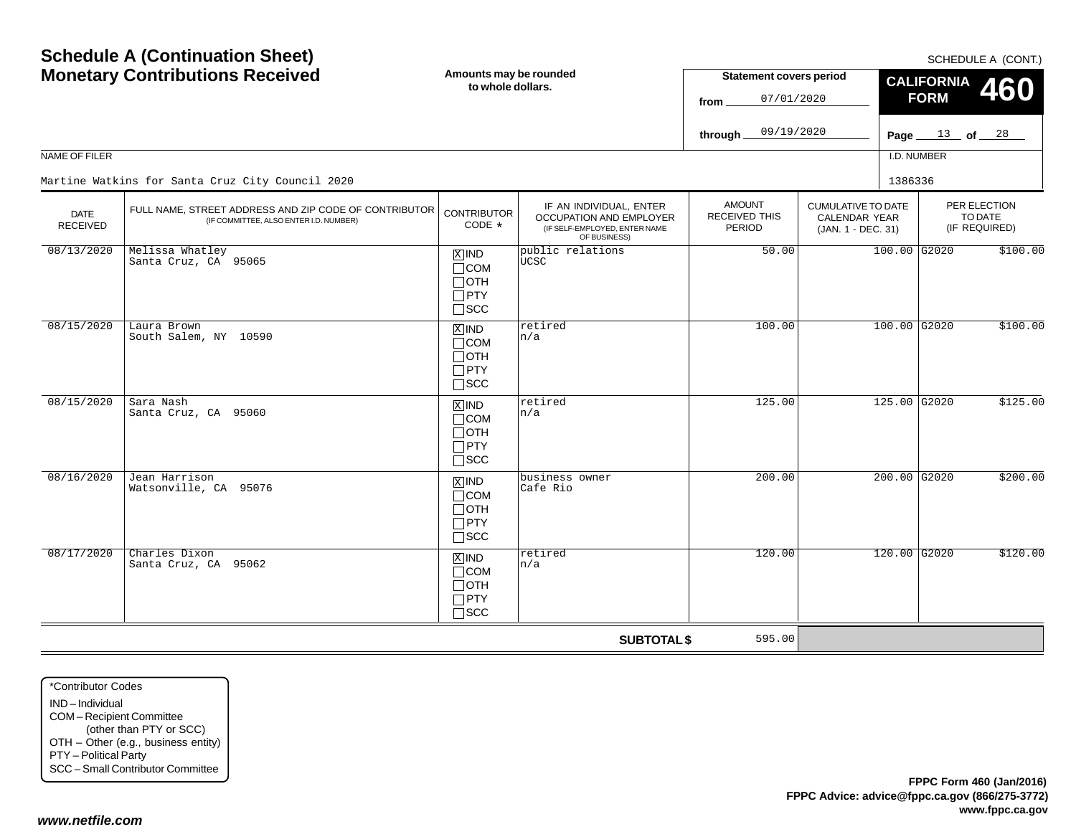|                         | <b>Monetary Contributions Received</b><br>Amounts may be rounded<br>to whole dollars.           |                                                                               |                                                                                                     | <b>Statement covers period</b><br>07/01/2020<br>from |                                                                  | <b>CALIFORNIA</b><br>460<br><b>FORM</b> |                                          |
|-------------------------|-------------------------------------------------------------------------------------------------|-------------------------------------------------------------------------------|-----------------------------------------------------------------------------------------------------|------------------------------------------------------|------------------------------------------------------------------|-----------------------------------------|------------------------------------------|
|                         |                                                                                                 |                                                                               |                                                                                                     | 09/19/2020<br>through                                |                                                                  |                                         | Page $13$ of $28$                        |
| NAME OF FILER           |                                                                                                 |                                                                               |                                                                                                     |                                                      |                                                                  | I.D. NUMBER                             |                                          |
|                         | Martine Watkins for Santa Cruz City Council 2020                                                |                                                                               |                                                                                                     |                                                      |                                                                  | 1386336                                 |                                          |
| <b>DATE</b><br>RECEIVED | FULL NAME, STREET ADDRESS AND ZIP CODE OF CONTRIBUTOR<br>(IF COMMITTEE, ALSO ENTER I.D. NUMBER) | <b>CONTRIBUTOR</b><br>CODE *                                                  | IF AN INDIVIDUAL, ENTER<br>OCCUPATION AND EMPLOYER<br>(IF SELF-EMPLOYED, ENTER NAME<br>OF BUSINESS) | <b>AMOUNT</b><br>RECEIVED THIS<br>PERIOD             | <b>CUMULATIVE TO DATE</b><br>CALENDAR YEAR<br>(JAN. 1 - DEC. 31) |                                         | PER ELECTION<br>TO DATE<br>(IF REQUIRED) |
| 08/13/2020              | Melissa Whatley<br>Santa Cruz, CA 95065                                                         | $x$ IND<br>$\Box$ COM<br>$\Box$ OTH<br>$\square$ PTY<br>$\sqcap$ scc          | public relations<br>UCSC                                                                            | 50.00                                                |                                                                  | 100.00 G2020                            | \$100.00                                 |
| 08/15/2020              | Laura Brown<br>South Salem, NY 10590                                                            | $\overline{X}$ IND<br>$\Box$ COM<br>$\Box$ OTH<br>$\Box$ PTY<br>$\square$ scc | retired<br>n/a                                                                                      | 100.00                                               |                                                                  | $100.00$ G2020                          | \$100.00                                 |
| 08/15/2020              | Sara Nash<br>Santa Cruz, CA 95060                                                               | $X$ IND<br>$\Box$ COM<br>$\Box$ OTH<br>$\Box$ PTY<br>$\square$ SCC            | retired<br>n/a                                                                                      | 125.00                                               |                                                                  | 125.00 G2020                            | \$125.00                                 |
| 08/16/2020              | Jean Harrison<br>Watsonville, CA 95076                                                          | $x$ IND<br>$\sqcap$ COM<br>$\Box$ OTH<br>$\Box$ PTY<br>$\square$ SCC          | business owner<br>Cafe Rio                                                                          | 200.00                                               |                                                                  | $200.00$ G2020                          | \$200.00                                 |
| 08/17/2020              | Charles Dixon<br>Santa Cruz, CA 95062                                                           | $X$ IND<br>$\Box$ COM<br>$\Box$ OTH<br>$\Box$ PTY<br>$\Box$ scc               | retired<br>n/a                                                                                      | 120.00                                               |                                                                  | 120.00 G2020                            | \$120.00                                 |
|                         |                                                                                                 |                                                                               | <b>SUBTOTAL \$</b>                                                                                  | 595.00                                               |                                                                  |                                         |                                          |

\*Contributor CodesIND – Individual COM – Recipient Committee (other than PTY or SCC) OTH – Other (e.g., business entity) PTY – Political Party SCC – Small Contributor Committee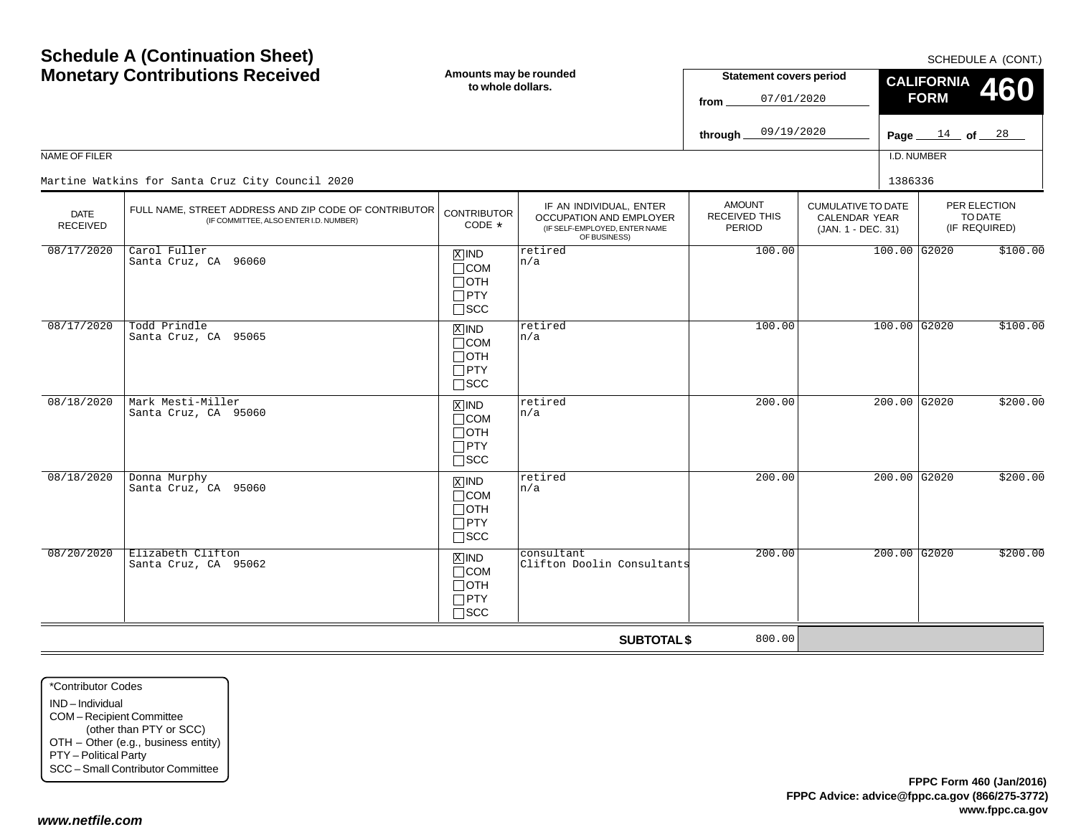$SCHFDUI F A (CONT)$ 

|                         | <b>Monetary Contributions Received</b>                                                          | Amounts may be rounded<br>to whole dollars.                                   |                                                                                                     | <b>Statement covers period</b><br>07/01/2020<br>from |                                                                  | <b>CALIFORNIA</b><br><b>FORM</b> | 55.12552211.7<br><b>460</b>              |
|-------------------------|-------------------------------------------------------------------------------------------------|-------------------------------------------------------------------------------|-----------------------------------------------------------------------------------------------------|------------------------------------------------------|------------------------------------------------------------------|----------------------------------|------------------------------------------|
|                         |                                                                                                 |                                                                               |                                                                                                     | 09/19/2020<br>through                                |                                                                  |                                  | Page $14$ of $28$                        |
| NAME OF FILER           |                                                                                                 |                                                                               |                                                                                                     |                                                      |                                                                  | I.D. NUMBER                      |                                          |
|                         | Martine Watkins for Santa Cruz City Council 2020                                                |                                                                               |                                                                                                     |                                                      |                                                                  | 1386336                          |                                          |
| <b>DATE</b><br>RECEIVED | FULL NAME, STREET ADDRESS AND ZIP CODE OF CONTRIBUTOR<br>(IF COMMITTEE, ALSO ENTER I.D. NUMBER) | <b>CONTRIBUTOR</b><br>CODE *                                                  | IF AN INDIVIDUAL, ENTER<br>OCCUPATION AND EMPLOYER<br>(IF SELF-EMPLOYED, ENTER NAME<br>OF BUSINESS) | <b>AMOUNT</b><br>RECEIVED THIS<br>PERIOD             | <b>CUMULATIVE TO DATE</b><br>CALENDAR YEAR<br>(JAN. 1 - DEC. 31) |                                  | PER ELECTION<br>TO DATE<br>(IF REQUIRED) |
| 08/17/2020              | Carol Fuller<br>Santa Cruz, CA 96060                                                            | $X$ IND<br>$\Box$ COM<br>$\Box$ OTH<br>$\square$ PTY<br>$\square$ SCC         | retired<br>n/a                                                                                      | 100.00                                               |                                                                  | $100.00$ G2020                   | \$100.00                                 |
| 08/17/2020              | Todd Prindle<br>Santa Cruz, CA 95065                                                            | $\overline{X}$ IND<br>$\Box$ COM<br>$\Box$ oth<br>$\Box$ PTY<br>$\square$ scc | retired<br>n/a                                                                                      | 100.00                                               |                                                                  | 100.00 G2020                     | \$100.00                                 |
| 08/18/2020              | Mark Mesti-Miller<br>Santa Cruz, CA 95060                                                       | $X$ IND<br>$\Box$ COM<br>$\Box$ oth<br>$\Box$ PTY<br>$\square$ SCC            | retired<br>n/a                                                                                      | 200.00                                               |                                                                  | $200.00$ G2020                   | \$200.00                                 |
| 08/18/2020              | Donna Murphy<br>Santa Cruz, CA 95060                                                            | $X$ IND<br>$\Box$ COM<br>$\Box$ OTH<br>$\Box$ PTY<br>$\square$ SCC            | retired<br>n/a                                                                                      | 200.00                                               |                                                                  | $200.00$ G2020                   | \$200.00                                 |
| 08/20/2020              | Elizabeth Clifton<br>Santa Cruz, CA 95062                                                       | $X$ IND<br>$\Box$ COM<br>$\Box$ OTH<br>$\Box$ PTY<br>$\Box$ scc               | consultant<br>Clifton Doolin Consultants                                                            | 200.00                                               |                                                                  | $200.00$ G2020                   | \$200.00                                 |
|                         |                                                                                                 |                                                                               | <b>SUBTOTAL \$</b>                                                                                  | 800.00                                               |                                                                  |                                  |                                          |

\*Contributor CodesIND – IndividualCOM – Recipient Committee (other than PTY or SCC) OTH – Other (e.g., business entity) PTY – Political Party SCC – Small Contributor Committee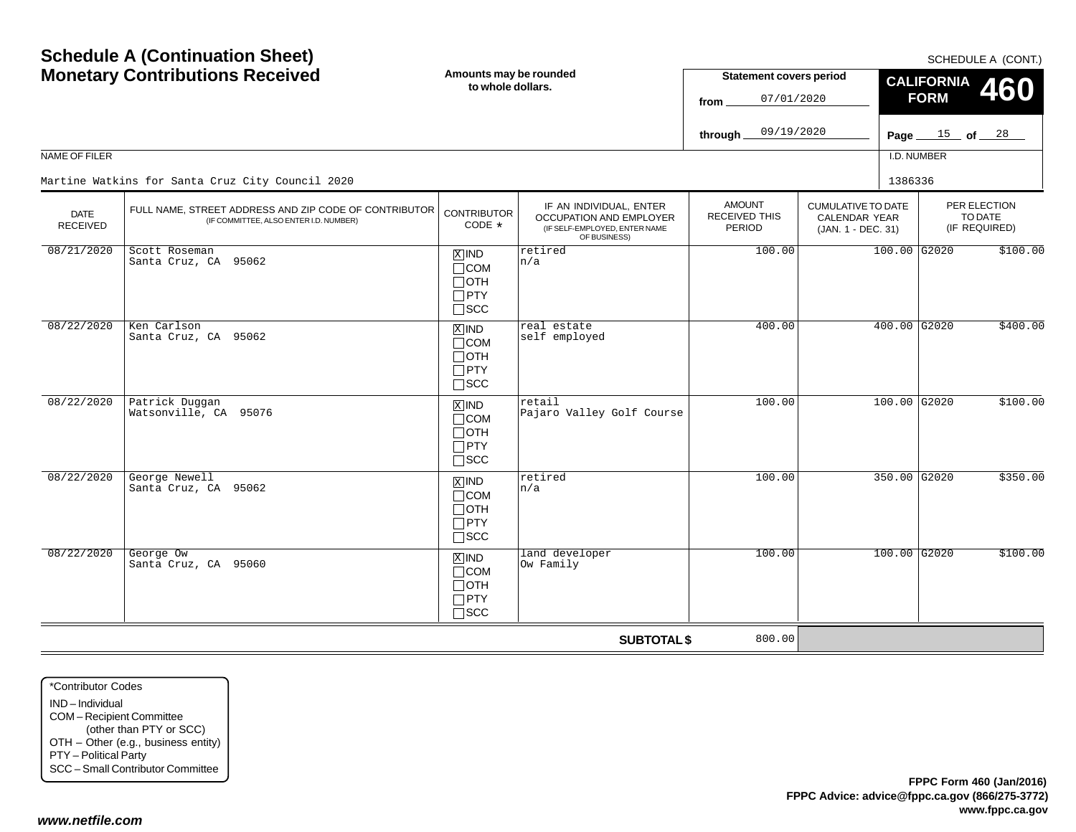| <b>Schedule A (Continuation Sheet)</b><br><b>Monetary Contributions Received</b><br>NAME OF FILER<br>Martine Watkins for Santa Cruz City Council 2020 |                                                                                                 | Amounts may be rounded<br>to whole dollars.                                       |                                                                                                     | <b>Statement covers period</b><br>07/01/2020<br>from<br>09/19/2020<br>through. |                                                                         | SCHEDULE A (CONT.)<br><b>CALIFORNIA</b><br><b>460</b><br><b>FORM</b><br>Page $15$ of $28$<br>I.D. NUMBER<br>1386336 |                                          |          |
|-------------------------------------------------------------------------------------------------------------------------------------------------------|-------------------------------------------------------------------------------------------------|-----------------------------------------------------------------------------------|-----------------------------------------------------------------------------------------------------|--------------------------------------------------------------------------------|-------------------------------------------------------------------------|---------------------------------------------------------------------------------------------------------------------|------------------------------------------|----------|
| DATE<br><b>RECEIVED</b>                                                                                                                               | FULL NAME, STREET ADDRESS AND ZIP CODE OF CONTRIBUTOR<br>(IF COMMITTEE, ALSO ENTER I.D. NUMBER) | <b>CONTRIBUTOR</b><br>CODE *                                                      | IF AN INDIVIDUAL, ENTER<br>OCCUPATION AND EMPLOYER<br>(IF SELF-EMPLOYED, ENTER NAME<br>OF BUSINESS) | <b>AMOUNT</b><br>RECEIVED THIS<br>PERIOD                                       | <b>CUMULATIVE TO DATE</b><br><b>CALENDAR YEAR</b><br>(JAN. 1 - DEC. 31) |                                                                                                                     | PER ELECTION<br>TO DATE<br>(IF REQUIRED) |          |
| 08/21/2020                                                                                                                                            | Scott Roseman<br>Santa Cruz, CA 95062                                                           | $X$ IND<br>$\Box$ COM<br>$\Box$ OTH<br>$\Box$ PTY<br>$\square$ SCC                | retired<br>n/a                                                                                      | 100.00                                                                         |                                                                         | 100.00 G2020                                                                                                        |                                          | \$100.00 |
| 08/22/2020                                                                                                                                            | Ken Carlson<br>Santa Cruz, CA 95062                                                             | $\boxed{\text{X}}$ IND<br>$\Box$ COM<br>$\Box$ OTH<br>$\Box$ PTY<br>$\square$ scc | real estate<br>self employed                                                                        | 400.00                                                                         |                                                                         | $400.00$ G2020                                                                                                      |                                          | \$400.00 |
| 08/22/2020                                                                                                                                            | Patrick Duggan<br>Watsonville, CA 95076                                                         | $\overline{X}$ IND<br>$\Box$ COM<br>$\Box$ OTH<br>$\Box$ PTY<br>$\Box$ scc        | retail<br>Pajaro Valley Golf Course                                                                 | 100.00                                                                         |                                                                         | 100.00 G2020                                                                                                        |                                          | \$100.00 |
| 08/22/2020                                                                                                                                            | George Newell<br>Santa Cruz, CA 95062                                                           | $\boxed{\text{X}}$ IND<br>$\Box$ COM<br>$\Box$ OTH<br>$\Box$ PTY<br>$\square$ scc | retired<br>n/a                                                                                      | 100.00                                                                         |                                                                         | 350.00 G2020                                                                                                        |                                          | \$350.00 |
| 08/22/2020                                                                                                                                            | George Ow<br>Santa Cruz, CA 95060                                                               | $X$ IND<br>$\Box$ COM<br>$\Box$ OTH<br>$\Box$ PTY<br>$\Box$ SCC                   | land developer<br>Ow Family                                                                         | 100.00                                                                         |                                                                         | $100.00$ G2020                                                                                                      |                                          | \$100.00 |
|                                                                                                                                                       |                                                                                                 |                                                                                   | <b>SUBTOTAL \$</b>                                                                                  | 800.00                                                                         |                                                                         |                                                                                                                     |                                          |          |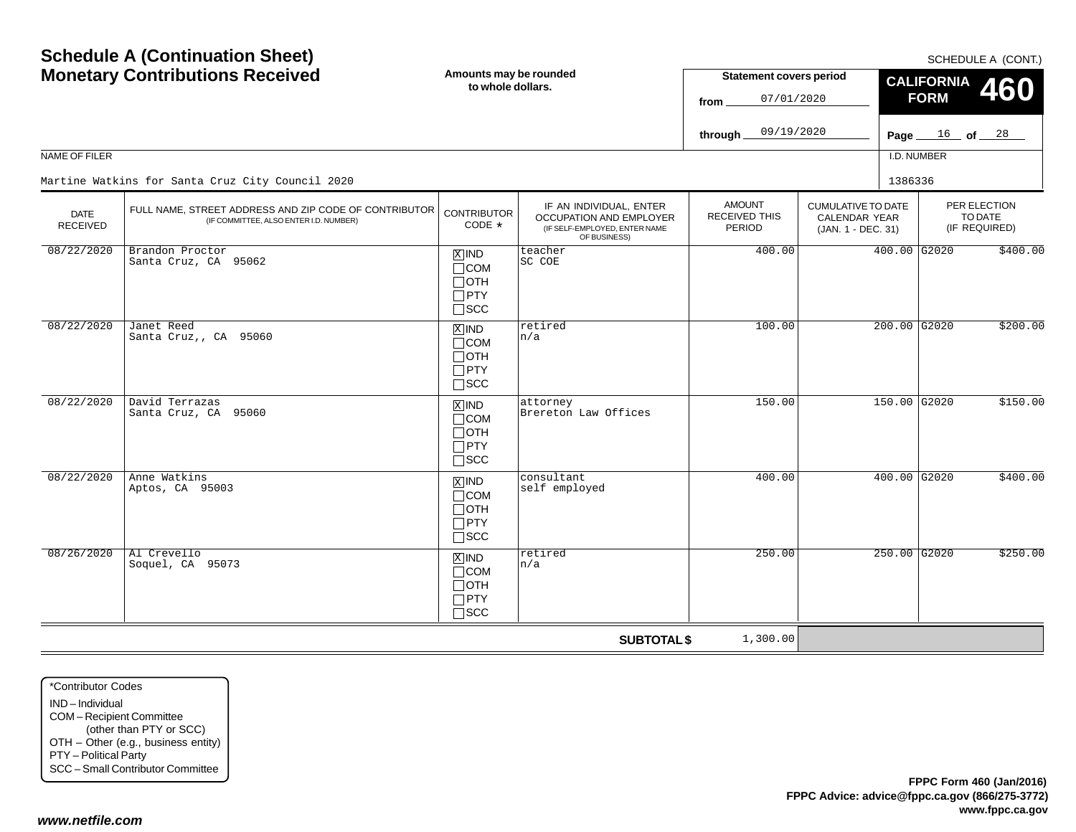| <b>Schedule A (Continuation Sheet)</b><br><b>Monetary Contributions Received</b><br>NAME OF FILER<br>Martine Watkins for Santa Cruz City Council 2020 |                                                                                                 | Amounts may be rounded<br>to whole dollars.                                       |                                                                                                     | <b>Statement covers period</b><br>07/01/2020<br>from<br>09/19/2020<br>through. |                                                                         |         | SCHEDULE A (CONT.)<br><b>CALIFORNIA</b><br><b>460</b><br><b>FORM</b><br>$16$ of $28$<br>Page $\_\$<br>I.D. NUMBER |          |  |
|-------------------------------------------------------------------------------------------------------------------------------------------------------|-------------------------------------------------------------------------------------------------|-----------------------------------------------------------------------------------|-----------------------------------------------------------------------------------------------------|--------------------------------------------------------------------------------|-------------------------------------------------------------------------|---------|-------------------------------------------------------------------------------------------------------------------|----------|--|
|                                                                                                                                                       |                                                                                                 |                                                                                   |                                                                                                     |                                                                                |                                                                         | 1386336 |                                                                                                                   |          |  |
| <b>DATE</b><br><b>RECEIVED</b>                                                                                                                        | FULL NAME, STREET ADDRESS AND ZIP CODE OF CONTRIBUTOR<br>(IF COMMITTEE, ALSO ENTER I.D. NUMBER) | <b>CONTRIBUTOR</b><br>CODE *                                                      | IF AN INDIVIDUAL, ENTER<br>OCCUPATION AND EMPLOYER<br>(IF SELF-EMPLOYED, ENTER NAME<br>OF BUSINESS) | <b>AMOUNT</b><br>RECEIVED THIS<br>PERIOD                                       | <b>CUMULATIVE TO DATE</b><br><b>CALENDAR YEAR</b><br>(JAN. 1 - DEC. 31) |         | PER ELECTION<br>TO DATE<br>(IF REQUIRED)                                                                          |          |  |
| 08/22/2020                                                                                                                                            | Brandon Proctor<br>Santa Cruz, CA 95062                                                         | $\overline{X}$ IND<br>$\Box$ COM<br>$\Box$ OTH<br>$\Box$ PTY<br>$\Box$ scc        | teacher<br>SC COE                                                                                   | 400.00                                                                         |                                                                         |         | $400.00$ G2020                                                                                                    | \$400.00 |  |
| 08/22/2020                                                                                                                                            | Janet Reed<br>Santa Cruz,, CA 95060                                                             | $X$ IND<br>$\Box$ COM<br>$\Box$ OTH<br>$\Box$ PTY<br>$\square$ scc                | retired<br>n/a                                                                                      | 100.00                                                                         |                                                                         |         | $200.00$ G2020                                                                                                    | \$200.00 |  |
| 08/22/2020                                                                                                                                            | David Terrazas<br>Santa Cruz, CA 95060                                                          | $\overline{X}$ IND<br>$\Box$ COM<br>$\Box$ OTH<br>$\Box$ PTY<br>$\Box$ scc        | attorney<br>Brereton Law Offices                                                                    | 150.00                                                                         |                                                                         |         | 150.00 G2020                                                                                                      | \$150.00 |  |
| 08/22/2020                                                                                                                                            | Anne Watkins<br>Aptos, CA 95003                                                                 | $\boxed{\text{X}}$ IND<br>$\Box$ COM<br>$\Box$ OTH<br>$\Box$ PTY<br>$\square$ scc | consultant<br>self employed                                                                         | 400.00                                                                         |                                                                         |         | $400.00$ G2020                                                                                                    | \$400.00 |  |
| 08/26/2020                                                                                                                                            | Al Crevello<br>Soquel, CA 95073                                                                 | $X$ IND<br>$\Box$ COM<br>$\Box$ OTH<br>$\Box$ PTY<br>$\Box$ SCC                   | retired<br>n/a                                                                                      | 250.00                                                                         |                                                                         |         | $250.00$ G2020                                                                                                    | \$250.00 |  |
|                                                                                                                                                       |                                                                                                 |                                                                                   | <b>SUBTOTAL \$</b>                                                                                  | 1,300.00                                                                       |                                                                         |         |                                                                                                                   |          |  |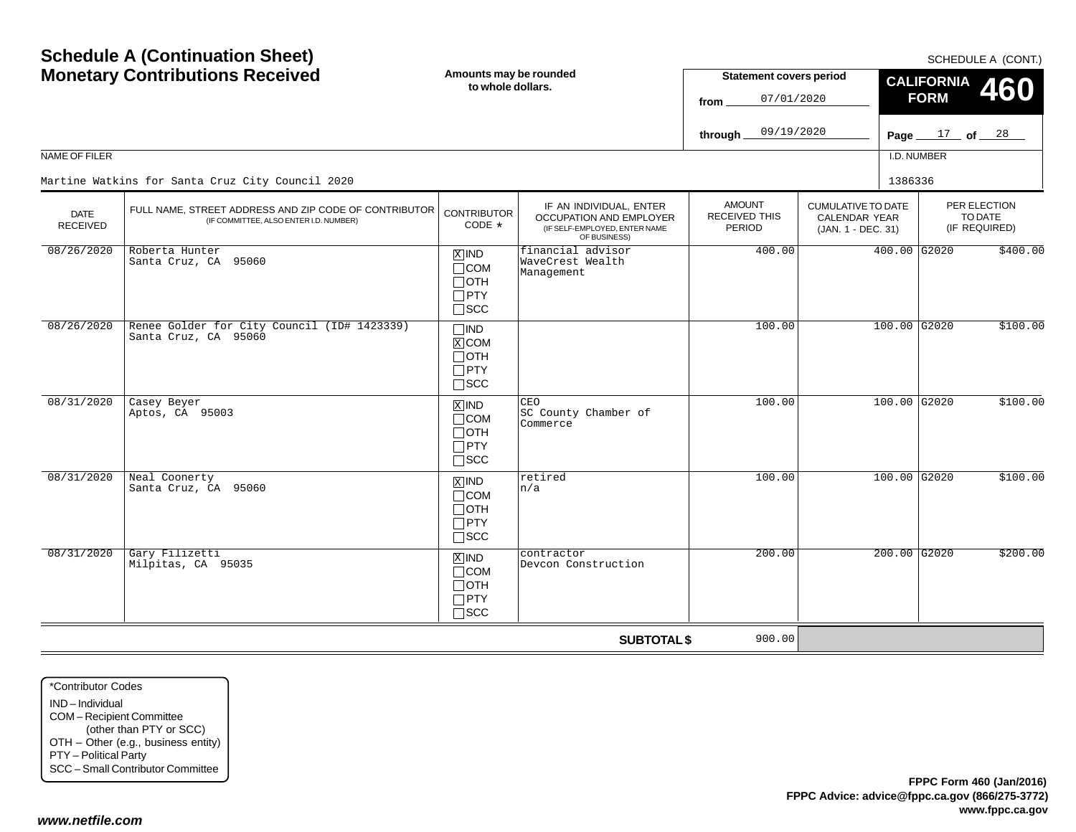|                                | <b>Monetary Contributions Received</b>                                                          | Amounts may be rounded<br>to whole dollars.                                   |                                                                                                     | <b>Statement covers period</b><br>from          | 07/01/2020                                                       |             | <b>CALIFORNIA</b><br><b>460</b><br><b>FORM</b> |                                          |  |
|--------------------------------|-------------------------------------------------------------------------------------------------|-------------------------------------------------------------------------------|-----------------------------------------------------------------------------------------------------|-------------------------------------------------|------------------------------------------------------------------|-------------|------------------------------------------------|------------------------------------------|--|
|                                |                                                                                                 |                                                                               |                                                                                                     | 09/19/2020<br>through_                          |                                                                  |             | Page $17$ of $28$                              |                                          |  |
| <b>NAME OF FILER</b>           |                                                                                                 |                                                                               |                                                                                                     |                                                 |                                                                  | I.D. NUMBER |                                                |                                          |  |
|                                | Martine Watkins for Santa Cruz City Council 2020                                                |                                                                               |                                                                                                     |                                                 |                                                                  | 1386336     |                                                |                                          |  |
| <b>DATE</b><br><b>RECEIVED</b> | FULL NAME, STREET ADDRESS AND ZIP CODE OF CONTRIBUTOR<br>(IF COMMITTEE, ALSO ENTER I.D. NUMBER) | <b>CONTRIBUTOR</b><br>CODE $*$                                                | IF AN INDIVIDUAL, ENTER<br>OCCUPATION AND EMPLOYER<br>(IF SELF-EMPLOYED, ENTER NAME<br>OF BUSINESS) | <b>AMOUNT</b><br><b>RECEIVED THIS</b><br>PERIOD | <b>CUMULATIVE TO DATE</b><br>CALENDAR YEAR<br>(JAN. 1 - DEC. 31) |             |                                                | PER ELECTION<br>TO DATE<br>(IF REQUIRED) |  |
| 08/26/2020                     | Roberta Hunter<br>Santa Cruz, CA 95060                                                          | $X$ IND<br>$\Box$ COM<br>$\Box$ OTH<br>$\sqcap$ PTY<br>$\square$ SCC          | financial advisor<br>WaveCrest Wealth<br>Management                                                 | 400.00                                          |                                                                  |             | 400.00 G2020                                   | \$400.00                                 |  |
| 08/26/2020                     | Renee Golder for City Council (ID# 1423339)<br>Santa Cruz, CA 95060                             | $\Box$ IND<br>$\overline{X}$ COM<br>$\Box$ OTH<br>$\Box$ PTY<br>$\square$ SCC |                                                                                                     | 100.00                                          |                                                                  |             | $100.00$ G2020                                 | \$100.00                                 |  |
| 08/31/2020                     | Casey Beyer<br>Aptos, CA 95003                                                                  | $X$ IND<br>$\Box$ COM<br>$\Box$ oth<br>$\Box$ PTY<br>$\sqcap$ scc             | CEO<br>SC County Chamber of<br>Commerce                                                             | 100.00                                          |                                                                  |             | $100.00$ G2020                                 | \$100.00                                 |  |
| 08/31/2020                     | Neal Coonerty<br>Santa Cruz, CA 95060                                                           | $X$ IND<br>$\Box$ COM<br>$\Box$ OTH<br>$\Box$ PTY<br>$\square$ scc            | retired<br>n/a                                                                                      | 100.00                                          |                                                                  |             | 100.00 G2020                                   | \$100.00                                 |  |
| 08/31/2020                     | Gary Filizetti<br>Milpitas, CA 95035                                                            | $X$ IND<br>$\Box$ COM<br>$\Box$ oth<br>$\Box$ PTY<br>$\sqcap$ SCC             | contractor<br>Devcon Construction                                                                   | 200.00                                          |                                                                  |             | $200.00$ G2020                                 | \$200.00                                 |  |
|                                |                                                                                                 |                                                                               | <b>SUBTOTAL \$</b>                                                                                  | 900.00                                          |                                                                  |             |                                                |                                          |  |

\*Contributor CodesIND – Individual COM – Recipient Committee (other than PTY or SCC) OTH – Other (e.g., business entity) PTY – Political Party SCC – Small Contributor Committee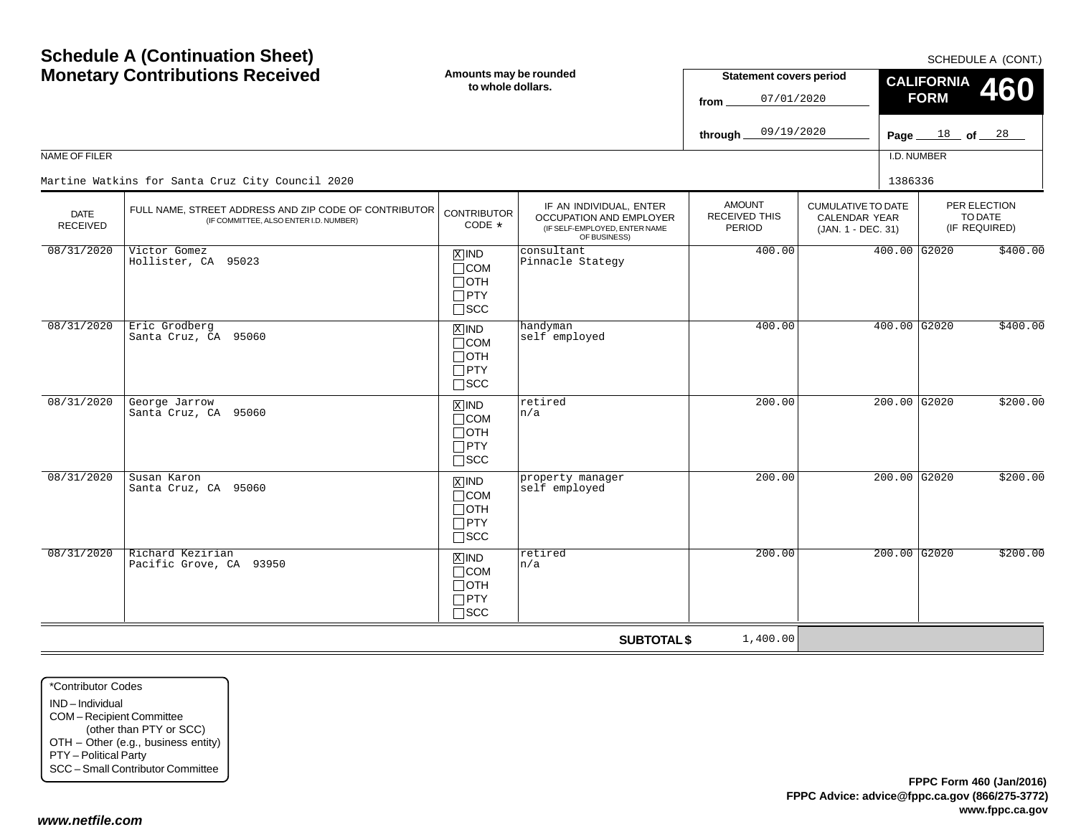| <b>Schedule A (Continuation Sheet)</b><br><b>Monetary Contributions Received</b><br>NAME OF FILER |                                                                                                 | Amounts may be rounded<br>to whole dollars.                                       |                                                                                                     | <b>Statement covers period</b><br>07/01/2020<br>from<br>09/19/2020<br>through |                                                                         |         | SCHEDULE A (CONT.)<br><b>CALIFORNIA</b><br><b>460</b><br><b>FORM</b><br>$18$ of $28$<br>Page $\equiv$<br>I.D. NUMBER |          |  |
|---------------------------------------------------------------------------------------------------|-------------------------------------------------------------------------------------------------|-----------------------------------------------------------------------------------|-----------------------------------------------------------------------------------------------------|-------------------------------------------------------------------------------|-------------------------------------------------------------------------|---------|----------------------------------------------------------------------------------------------------------------------|----------|--|
|                                                                                                   | Martine Watkins for Santa Cruz City Council 2020                                                |                                                                                   |                                                                                                     |                                                                               |                                                                         | 1386336 |                                                                                                                      |          |  |
| <b>DATE</b><br><b>RECEIVED</b>                                                                    | FULL NAME, STREET ADDRESS AND ZIP CODE OF CONTRIBUTOR<br>(IF COMMITTEE, ALSO ENTER I.D. NUMBER) | <b>CONTRIBUTOR</b><br>CODE *                                                      | IF AN INDIVIDUAL, ENTER<br>OCCUPATION AND EMPLOYER<br>(IF SELF-EMPLOYED, ENTER NAME<br>OF BUSINESS) | <b>AMOUNT</b><br>RECEIVED THIS<br>PERIOD                                      | <b>CUMULATIVE TO DATE</b><br><b>CALENDAR YEAR</b><br>(JAN. 1 - DEC. 31) |         | PER ELECTION<br>TO DATE<br>(IF REQUIRED)                                                                             |          |  |
| 08/31/2020                                                                                        | Victor Gomez<br>Hollister, CA 95023                                                             | $\overline{X}$ IND<br>$\Box$ COM<br>$\Box$ OTH<br>$\Box$ PTY<br>$\square$ SCC     | consultant<br>Pinnacle Stategy                                                                      | 400.00                                                                        |                                                                         |         | $400.00$ G2020                                                                                                       | \$400.00 |  |
| 08/31/2020                                                                                        | Eric Grodberg<br>Santa Cruz, CA 95060                                                           | $\overline{X}$ IND<br>$\Box$ COM<br>$\Box$ OTH<br>$\Box$ PTY<br>$\square$ scc     | handyman<br>self employed                                                                           | 400.00                                                                        |                                                                         |         | $400.00$ G2020                                                                                                       | \$400.00 |  |
| 08/31/2020                                                                                        | George Jarrow<br>Santa Cruz, CA 95060                                                           | $\overline{X}$ IND<br>$\Box$ COM<br>$\Box$ OTH<br>$\Box$ PTY<br>$\Box$ scc        | retired<br>n/a                                                                                      | 200.00                                                                        |                                                                         |         | 200.00 G2020                                                                                                         | \$200.00 |  |
| 08/31/2020                                                                                        | Susan Karon<br>Santa Cruz, CA 95060                                                             | $\boxed{\text{X}}$ IND<br>$\Box$ COM<br>$\Box$ OTH<br>$\Box$ PTY<br>$\square$ scc | property manager<br>self employed                                                                   | 200.00                                                                        |                                                                         |         | $200.00$ G2020                                                                                                       | \$200.00 |  |
| 08/31/2020                                                                                        | Richard Kezirian<br>Pacific Grove, CA 93950                                                     | $X$ IND<br>$\Box$ COM<br>$\Box$ OTH<br>$\Box$ PTY<br>$\Box$ SCC                   | retired<br>n/a                                                                                      | 200.00                                                                        |                                                                         |         | $200.00$ G2020                                                                                                       | \$200.00 |  |
|                                                                                                   |                                                                                                 |                                                                                   | <b>SUBTOTAL \$</b>                                                                                  | 1,400.00                                                                      |                                                                         |         |                                                                                                                      |          |  |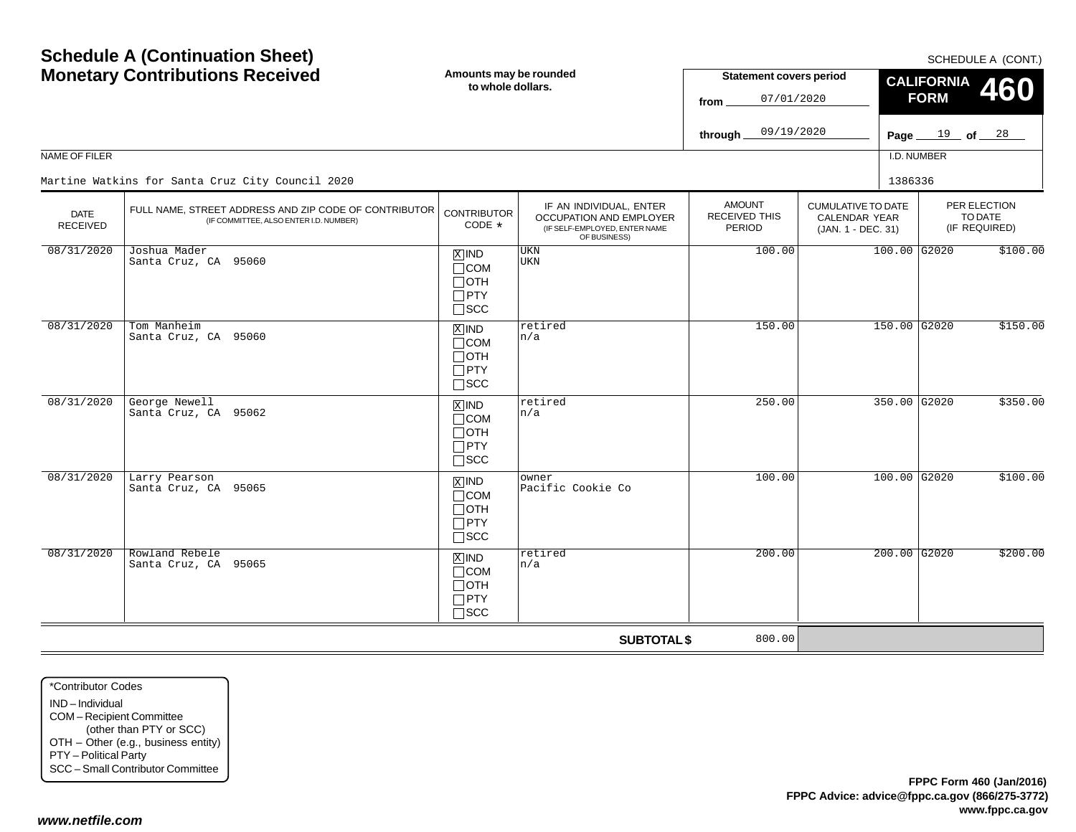$SCHFDUI F A (CONT)$ 

|                                | <b>Monetary Contributions Received</b>                                                          |                                                                               | Amounts may be rounded<br>to whole dollars.                                                         |                                          | <b>Statement covers period</b><br>07/01/2020                     | <b>CALIFORNIA</b><br><b>460</b><br><b>FORM</b> |                   |                                          |
|--------------------------------|-------------------------------------------------------------------------------------------------|-------------------------------------------------------------------------------|-----------------------------------------------------------------------------------------------------|------------------------------------------|------------------------------------------------------------------|------------------------------------------------|-------------------|------------------------------------------|
|                                |                                                                                                 |                                                                               |                                                                                                     | 09/19/2020<br>through.                   |                                                                  |                                                | Page $19$ of $28$ |                                          |
| NAME OF FILER                  |                                                                                                 |                                                                               |                                                                                                     |                                          |                                                                  | I.D. NUMBER                                    |                   |                                          |
|                                | Martine Watkins for Santa Cruz City Council 2020                                                |                                                                               |                                                                                                     |                                          |                                                                  | 1386336                                        |                   |                                          |
| <b>DATE</b><br><b>RECEIVED</b> | FULL NAME, STREET ADDRESS AND ZIP CODE OF CONTRIBUTOR<br>(IF COMMITTEE, ALSO ENTER I.D. NUMBER) | <b>CONTRIBUTOR</b><br>CODE $*$                                                | IF AN INDIVIDUAL, ENTER<br>OCCUPATION AND EMPLOYER<br>(IF SELF-EMPLOYED, ENTER NAME<br>OF BUSINESS) | <b>AMOUNT</b><br>RECEIVED THIS<br>PERIOD | <b>CUMULATIVE TO DATE</b><br>CALENDAR YEAR<br>(JAN. 1 - DEC. 31) |                                                |                   | PER ELECTION<br>TO DATE<br>(IF REQUIRED) |
| 08/31/2020                     | Joshua Mader<br>Santa Cruz, CA 95060                                                            | $X$ IND<br>$\Box$ COM<br>$\Box$ oth<br>$\Box$ PTY<br>$\square$ SCC            | <b>UKN</b><br>UKN                                                                                   | 100.00                                   |                                                                  | $100.00$ G2020                                 |                   | \$100.00                                 |
| 08/31/2020                     | Tom Manheim<br>Santa Cruz, CA 95060                                                             | $\overline{X}$ IND<br>$\Box$ COM<br>$\Box$ OTH<br>$\Box$ PTY<br>$\square$ scc | retired<br>n/a                                                                                      | 150.00                                   |                                                                  | 150.00 G2020                                   |                   | \$150.00                                 |
| 08/31/2020                     | George Newell<br>Santa Cruz, CA 95062                                                           | $X$ IND<br>$\Box$ COM<br>$\Box$ OTH<br>$\Box$ PTY<br>$\square$ SCC            | retired<br>n/a                                                                                      | 250.00                                   |                                                                  | 350.00 G2020                                   |                   | \$350.00                                 |
| 08/31/2020                     | Larry Pearson<br>Santa Cruz, CA 95065                                                           | $X$ IND<br>$\Box$ COM<br>$\Box$ OTH<br>$\Box$ PTY<br>$\square$ SCC            | owner<br>Pacific Cookie Co                                                                          | 100.00                                   |                                                                  | $100.00$ G2020                                 |                   | \$100.00                                 |
| 08/31/2020                     | Rowland Rebele<br>Santa Cruz, CA 95065                                                          | $X$ IND<br>$\Box$ COM<br>$\Box$ OTH<br>$\Box$ PTY<br>$\sqcap$ scc             | retired<br>n/a                                                                                      | 200.00                                   |                                                                  | $200.00$ G2020                                 |                   | \$200.00                                 |
|                                |                                                                                                 |                                                                               | <b>SUBTOTAL \$</b>                                                                                  | 800.00                                   |                                                                  |                                                |                   |                                          |

\*Contributor CodesIND – IndividualCOM – Recipient Committee (other than PTY or SCC) OTH – Other (e.g., business entity) PTY – Political Party SCC – Small Contributor Committee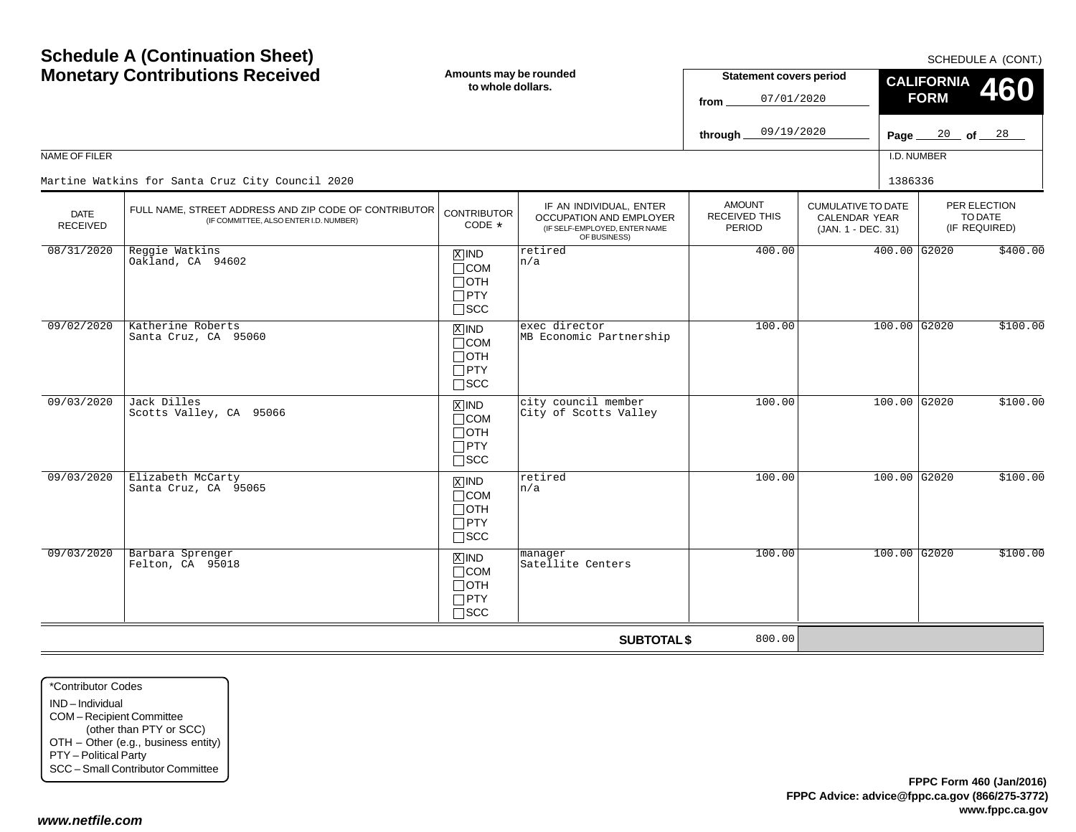| <b>NAME OF FILER</b>    | <b>Schedule A (Continuation Sheet)</b><br><b>Monetary Contributions Received</b>                                                                    | Amounts may be rounded<br>to whole dollars.                                       |                                                                                                     | <b>Statement covers period</b><br>07/01/2020<br>from<br>09/19/2020<br>through |                                                                         | <b>CALIFORNIA</b><br><b>FORM</b><br>Page $_{-}$<br>I.D. NUMBER | SCHEDULE A (CONT.)<br><b>460</b><br>$\frac{20}{100}$ of $\frac{28}{100}$ |
|-------------------------|-----------------------------------------------------------------------------------------------------------------------------------------------------|-----------------------------------------------------------------------------------|-----------------------------------------------------------------------------------------------------|-------------------------------------------------------------------------------|-------------------------------------------------------------------------|----------------------------------------------------------------|--------------------------------------------------------------------------|
| DATE<br><b>RECEIVED</b> | Martine Watkins for Santa Cruz City Council 2020<br>FULL NAME, STREET ADDRESS AND ZIP CODE OF CONTRIBUTOR<br>(IF COMMITTEE, ALSO ENTER I.D. NUMBER) | <b>CONTRIBUTOR</b><br>CODE *                                                      | IF AN INDIVIDUAL, ENTER<br>OCCUPATION AND EMPLOYER<br>(IF SELF-EMPLOYED, ENTER NAME<br>OF BUSINESS) | <b>AMOUNT</b><br>RECEIVED THIS<br>PERIOD                                      | <b>CUMULATIVE TO DATE</b><br><b>CALENDAR YEAR</b><br>(JAN. 1 - DEC. 31) | 1386336                                                        | PER ELECTION<br>TO DATE<br>(IF REQUIRED)                                 |
| 08/31/2020              | Reggie Watkins<br>Oakland, CA 94602                                                                                                                 | $X$ IND<br>$\Box$ COM<br>$\Box$ OTH<br>$\Box$ PTY<br>$\square$ SCC                | retired<br>n/a                                                                                      | 400.00                                                                        |                                                                         | 400.00 G2020                                                   | \$400.00                                                                 |
| 09/02/2020              | Katherine Roberts<br>Santa Cruz, CA 95060                                                                                                           | $\boxed{\text{X}}$ IND<br>$\Box$ COM<br>$\Box$ OTH<br>$\Box$ PTY<br>$\square$ scc | exec director<br>MB Economic Partnership                                                            | 100.00                                                                        |                                                                         | $100.00$ G2020                                                 | \$100.00                                                                 |
| 09/03/2020              | Jack Dilles<br>Scotts Valley, CA 95066                                                                                                              | $\overline{X}$ IND<br>$\Box$ COM<br>$\Box$ OTH<br>$\Box$ PTY<br>$\Box$ scc        | city council member<br>City of Scotts Valley                                                        | 100.00                                                                        |                                                                         | 100.00 G2020                                                   | \$100.00                                                                 |
| 09/03/2020              | Elizabeth McCarty<br>Santa Cruz, CA 95065                                                                                                           | $\boxed{\text{X}}$ IND<br>$\Box$ COM<br>$\Box$ OTH<br>$\Box$ PTY<br>$\square$ scc | retired<br>n/a                                                                                      | 100.00                                                                        |                                                                         | 100.00 G2020                                                   | \$100.00                                                                 |
| 09/03/2020              | Barbara Sprenger<br>Felton, CA 95018                                                                                                                | $X$ IND<br>$\Box$ COM<br>$\Box$ OTH<br>$\Box$ PTY<br>$\Box$ SCC                   | manager<br>Satellite Centers                                                                        | 100.00                                                                        |                                                                         | $100.00$ G2020                                                 | \$100.00                                                                 |
|                         |                                                                                                                                                     |                                                                                   | <b>SUBTOTAL \$</b>                                                                                  | 800.00                                                                        |                                                                         |                                                                |                                                                          |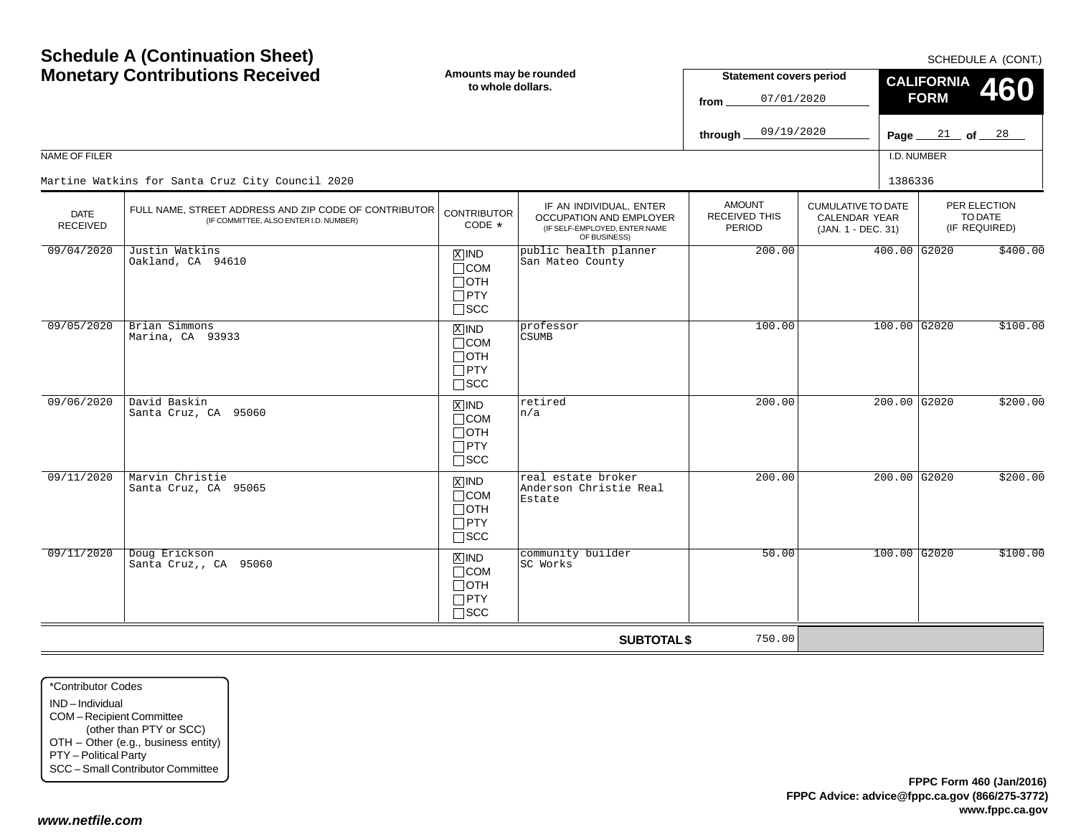|                                | <b>Schedule A (Continuation Sheet)</b><br><b>Monetary Contributions Received</b>                | Amounts may be rounded<br>to whole dollars.                                       |                                                                                                            | <b>Statement covers period</b>              |                                                                         |                | <b>CALIFORNIA</b>                | SCHEDULE A (CONT.)<br><b>460</b>         |
|--------------------------------|-------------------------------------------------------------------------------------------------|-----------------------------------------------------------------------------------|------------------------------------------------------------------------------------------------------------|---------------------------------------------|-------------------------------------------------------------------------|----------------|----------------------------------|------------------------------------------|
|                                |                                                                                                 |                                                                                   |                                                                                                            | 07/01/2020<br>from<br>09/19/2020<br>through |                                                                         |                | <b>FORM</b><br>Page $21$ of $28$ |                                          |
| NAME OF FILER                  |                                                                                                 |                                                                                   |                                                                                                            |                                             |                                                                         | I.D. NUMBER    |                                  |                                          |
|                                | Martine Watkins for Santa Cruz City Council 2020                                                |                                                                                   |                                                                                                            |                                             |                                                                         | 1386336        |                                  |                                          |
| <b>DATE</b><br><b>RECEIVED</b> | FULL NAME, STREET ADDRESS AND ZIP CODE OF CONTRIBUTOR<br>(IF COMMITTEE, ALSO ENTER I.D. NUMBER) | <b>CONTRIBUTOR</b><br>CODE *                                                      | IF AN INDIVIDUAL, ENTER<br><b>OCCUPATION AND EMPLOYER</b><br>(IF SELF-EMPLOYED, ENTER NAME<br>OF BUSINESS) | <b>AMOUNT</b><br>RECEIVED THIS<br>PERIOD    | <b>CUMULATIVE TO DATE</b><br><b>CALENDAR YEAR</b><br>(JAN. 1 - DEC. 31) |                |                                  | PER ELECTION<br>TO DATE<br>(IF REQUIRED) |
| 09/04/2020                     | Justin Watkins<br>Oakland, CA 94610                                                             | $\overline{X}$ IND<br>$\Box$ COM<br>$\Box$ OTH<br>$\Box$ PTY<br>$\square$ SCC     | public health planner<br>San Mateo County                                                                  | 200.00                                      |                                                                         | $400.00$ G2020 |                                  | \$400.00                                 |
| 09/05/2020                     | Brian Simmons<br>Marina, CA 93933                                                               | $\overline{X}$ IND<br>$\Box$ COM<br>$\Box$ OTH<br>$\Box$ PTY<br>$\square$ SCC     | professor<br><b>CSUMB</b>                                                                                  | 100.00                                      |                                                                         | $100.00$ G2020 |                                  | \$100.00                                 |
| 09/06/2020                     | David Baskin<br>Santa Cruz, CA 95060                                                            | $\overline{X}$ IND<br>$\Box$ COM<br>$\Box$ OTH<br>$\Box$ PTY<br>$\square$ SCC     | retired<br>n/a                                                                                             | 200.00                                      |                                                                         | 200.00 G2020   |                                  | \$200.00                                 |
| 09/11/2020                     | Marvin Christie<br>Santa Cruz, CA 95065                                                         | $\boxed{\text{X}}$ IND<br>$\Box$ COM<br>$\Box$ OTH<br>$\Box$ PTY<br>$\square$ scc | real estate broker<br>Anderson Christie Real<br>Estate                                                     | 200.00                                      |                                                                         | $200.00$ G2020 |                                  | \$200.00                                 |
| 09/11/2020                     | Doug Erickson<br>Santa Cruz,, CA 95060                                                          | $X$ IND<br>$\Box$ COM<br>$\Box$ OTH<br>$\Box$ PTY<br>$\Box$ SCC                   | community builder<br>SC Works                                                                              | 50.00                                       |                                                                         | $100.00$ G2020 |                                  | \$100.00                                 |
|                                |                                                                                                 |                                                                                   | <b>SUBTOTAL \$</b>                                                                                         | 750.00                                      |                                                                         |                |                                  |                                          |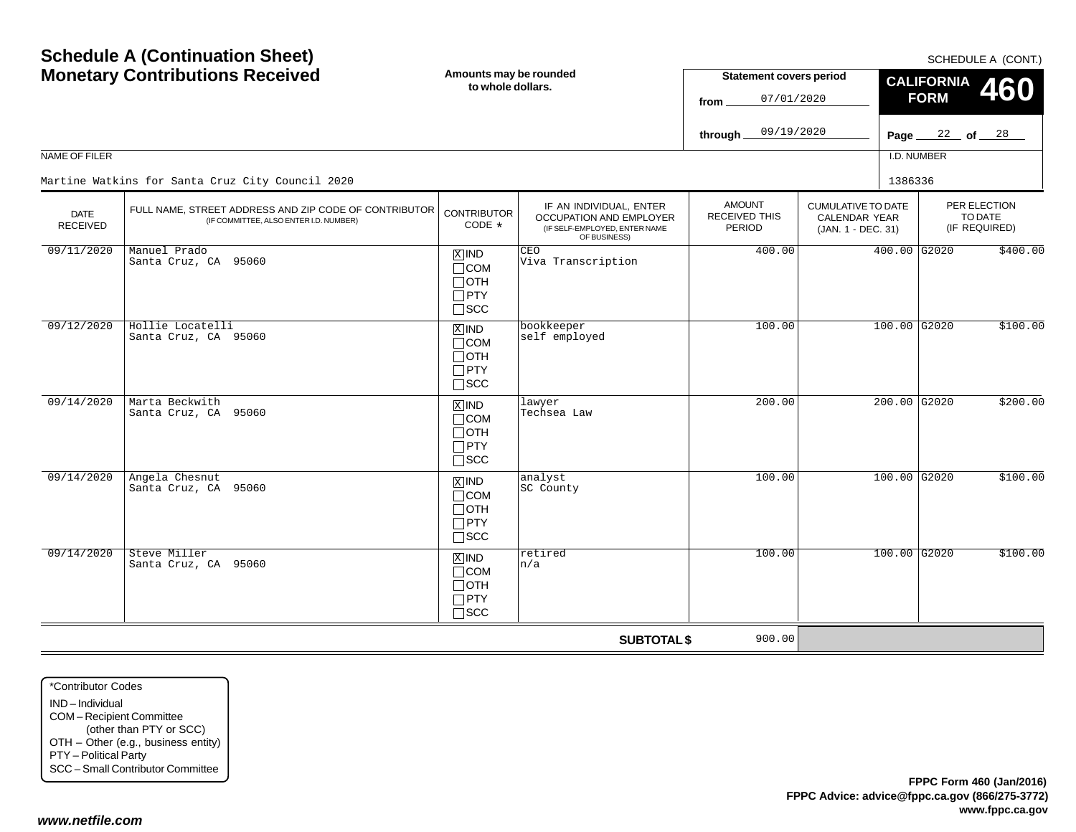|                                | <b>Schedule A (Continuation Sheet)</b><br><b>Monetary Contributions Received</b>                | Amounts may be rounded<br>to whole dollars.                             |                                                                                                     | <b>Statement covers period</b><br>07/01/2020<br>from<br>09/19/2020<br>through |                                                                  | <b>CALIFORNIA</b><br><b>FORM</b><br>Page __ | SCHEDULE A (CONT.)<br>460<br>22 of 28    |
|--------------------------------|-------------------------------------------------------------------------------------------------|-------------------------------------------------------------------------|-----------------------------------------------------------------------------------------------------|-------------------------------------------------------------------------------|------------------------------------------------------------------|---------------------------------------------|------------------------------------------|
| NAME OF FILER                  | Martine Watkins for Santa Cruz City Council 2020                                                |                                                                         |                                                                                                     |                                                                               |                                                                  | I.D. NUMBER<br>1386336                      |                                          |
| <b>DATE</b><br><b>RECEIVED</b> | FULL NAME, STREET ADDRESS AND ZIP CODE OF CONTRIBUTOR<br>(IF COMMITTEE, ALSO ENTER I.D. NUMBER) | <b>CONTRIBUTOR</b><br>CODE *                                            | IF AN INDIVIDUAL, ENTER<br>OCCUPATION AND EMPLOYER<br>(IF SELF-EMPLOYED, ENTER NAME<br>OF BUSINESS) | <b>AMOUNT</b><br><b>RECEIVED THIS</b><br><b>PERIOD</b>                        | <b>CUMULATIVE TO DATE</b><br>CALENDAR YEAR<br>(JAN. 1 - DEC. 31) |                                             | PER ELECTION<br>TO DATE<br>(IF REQUIRED) |
| 09/11/2020                     | Manuel Prado<br>Santa Cruz, CA 95060                                                            | $X$ IND<br>$\Box$ COM<br>⊟отн<br>$\Box$ PTY<br>$\square$ SCC            | <b>CEO</b><br>Viva Transcription                                                                    | 400.00                                                                        |                                                                  | $400.00$ G2020                              | \$400.00                                 |
| 09/12/2020                     | Hollie Locatelli<br>Santa Cruz, CA 95060                                                        | $X$ IND<br>$\Box$ COM<br>$\Box$ oth<br>$\Box$ PTY<br>$\Box$ scc         | bookkeeper<br>self employed                                                                         | 100.00                                                                        |                                                                  | $100.00$ G2020                              | \$100.00                                 |
| 09/14/2020                     | Marta Beckwith<br>Santa Cruz, CA 95060                                                          | $X$ IND<br>$\sqcap$ COM<br>$\Box$ oth<br>$\Box$ PTY<br>$\sqcap$ scc     | lawyer<br>Techsea Law                                                                               | 200.00                                                                        |                                                                  | $200.00$ G2020                              | \$200.00                                 |
| 09/14/2020                     | Angela Chesnut<br>Santa Cruz, CA 95060                                                          | $\overline{X}$ IND<br>$\Box$ COM<br>⊓отн<br>$\Box$ PTY<br>$\square$ SCC | analyst<br>SC County                                                                                | 100.00                                                                        |                                                                  | $100.00$ G2020                              | \$100.00                                 |
| 09/14/2020                     | Steve Miller<br>Santa Cruz, CA 95060                                                            | $X$ IND<br>$\Box$ COM<br>$\sqcap$ OTH<br>$\Box$ PTY<br>$\sqcap$ scc     | retired<br>n/a                                                                                      | 100.00                                                                        |                                                                  | $100.00$ G <sub>2020</sub>                  | \$100.00                                 |
|                                |                                                                                                 |                                                                         | <b>SUBTOTAL \$</b>                                                                                  | 900.00                                                                        |                                                                  |                                             |                                          |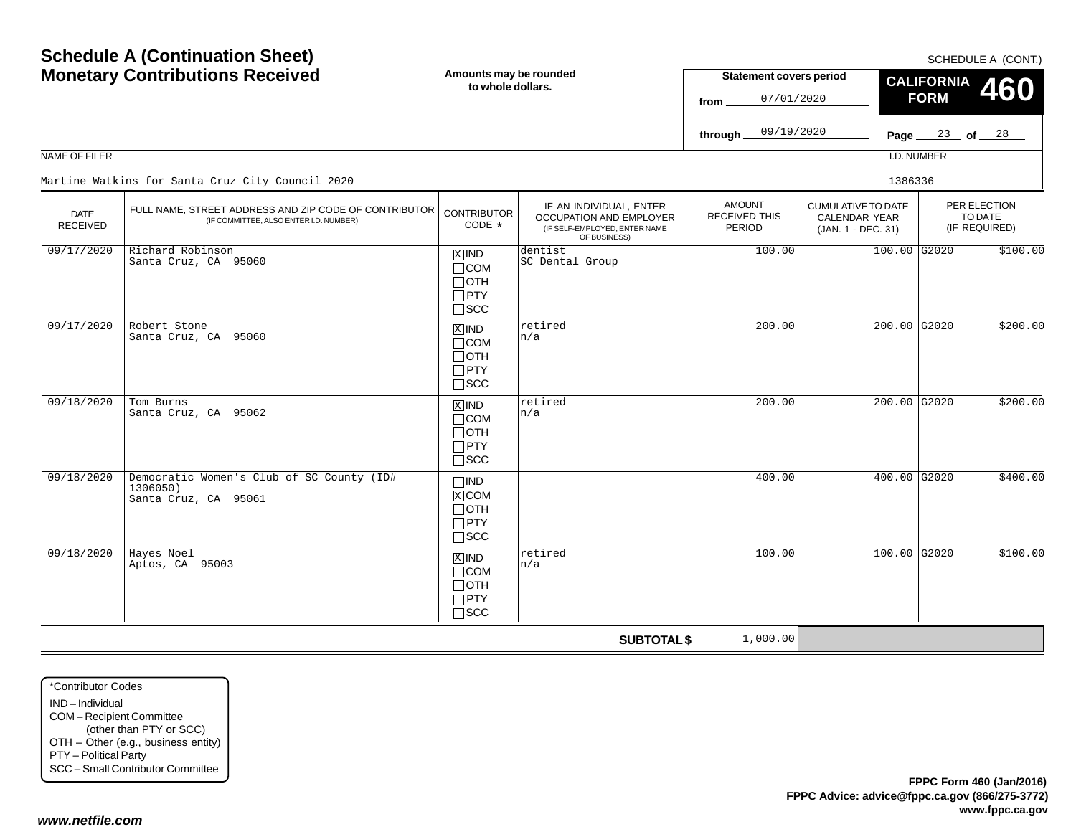| NAME OF FILER                  | <b>Schedule A (Continuation Sheet)</b><br><b>Monetary Contributions Received</b>                | Amounts may be rounded<br>to whole dollars.                        |                                                                                                     | <b>Statement covers period</b><br>07/01/2020<br>from<br>09/19/2020<br>through |                                                                  | <b>CALIFORNIA</b><br><b>FORM</b><br>Page $\frac{23}{ }$ of $\frac{28}{ }$<br>I.D. NUMBER | SCHEDULE A (CONT.)<br>460                |
|--------------------------------|-------------------------------------------------------------------------------------------------|--------------------------------------------------------------------|-----------------------------------------------------------------------------------------------------|-------------------------------------------------------------------------------|------------------------------------------------------------------|------------------------------------------------------------------------------------------|------------------------------------------|
|                                | Martine Watkins for Santa Cruz City Council 2020                                                |                                                                    |                                                                                                     |                                                                               |                                                                  | 1386336                                                                                  |                                          |
| <b>DATE</b><br><b>RECEIVED</b> | FULL NAME, STREET ADDRESS AND ZIP CODE OF CONTRIBUTOR<br>(IF COMMITTEE, ALSO ENTER I.D. NUMBER) | <b>CONTRIBUTOR</b><br>CODE $*$                                     | IF AN INDIVIDUAL, ENTER<br>OCCUPATION AND EMPLOYER<br>(IF SELF-EMPLOYED, ENTER NAME<br>OF BUSINESS) | <b>AMOUNT</b><br><b>RECEIVED THIS</b><br>PERIOD                               | <b>CUMULATIVE TO DATE</b><br>CALENDAR YEAR<br>(JAN. 1 - DEC. 31) |                                                                                          | PER ELECTION<br>TO DATE<br>(IF REQUIRED) |
| 09/17/2020                     | Richard Robinson<br>Santa Cruz, CA 95060                                                        | $X$ IND<br>$\Box$ COM<br>$\Box$ OTH<br>$\Box$ PTY<br>$\sqcap$ scc  | dentist<br>SC Dental Group                                                                          | 100.00                                                                        |                                                                  | 100.00 G2020                                                                             | \$100.00                                 |
| 09/17/2020                     | Robert Stone<br>Santa Cruz, CA 95060                                                            | $X$ IND<br>$\Box$ COM<br>$\Box$ oth<br>$\Box$ PTY<br>$\square$ SCC | retired<br>n/a                                                                                      | 200.00                                                                        |                                                                  | 200.00 G2020                                                                             | \$200.00                                 |
| 09/18/2020                     | Tom Burns<br>Santa Cruz, CA 95062                                                               | $x$ IND<br>$\Box$ COM<br>$\Box$ OTH<br>$\Box$ PTY<br>$\square$ scc | retired<br>n/a                                                                                      | 200.00                                                                        |                                                                  | $200.00$ G2020                                                                           | \$200.00                                 |
| 09/18/2020                     | Democratic Women's Club of SC County (ID#<br>1306050)<br>Santa Cruz, CA 95061                   | $\square$ IND<br>$X$ COM<br>∏отн<br>$\Box$ PTY<br>$\square$ scc    |                                                                                                     | 400.00                                                                        |                                                                  | $400.00$ G2020                                                                           | \$400.00                                 |
| 09/18/2020                     | Hayes Noel<br>Aptos, CA 95003                                                                   | $X$ IND<br>$\Box$ COM<br>$\Box$ OTH<br>$\Box$ PTY<br>$\Box$ scc    | retired<br>n/a                                                                                      | 100.00                                                                        |                                                                  | 100.00 G2020                                                                             | \$100.00                                 |
|                                |                                                                                                 |                                                                    | <b>SUBTOTAL \$</b>                                                                                  | 1,000.00                                                                      |                                                                  |                                                                                          |                                          |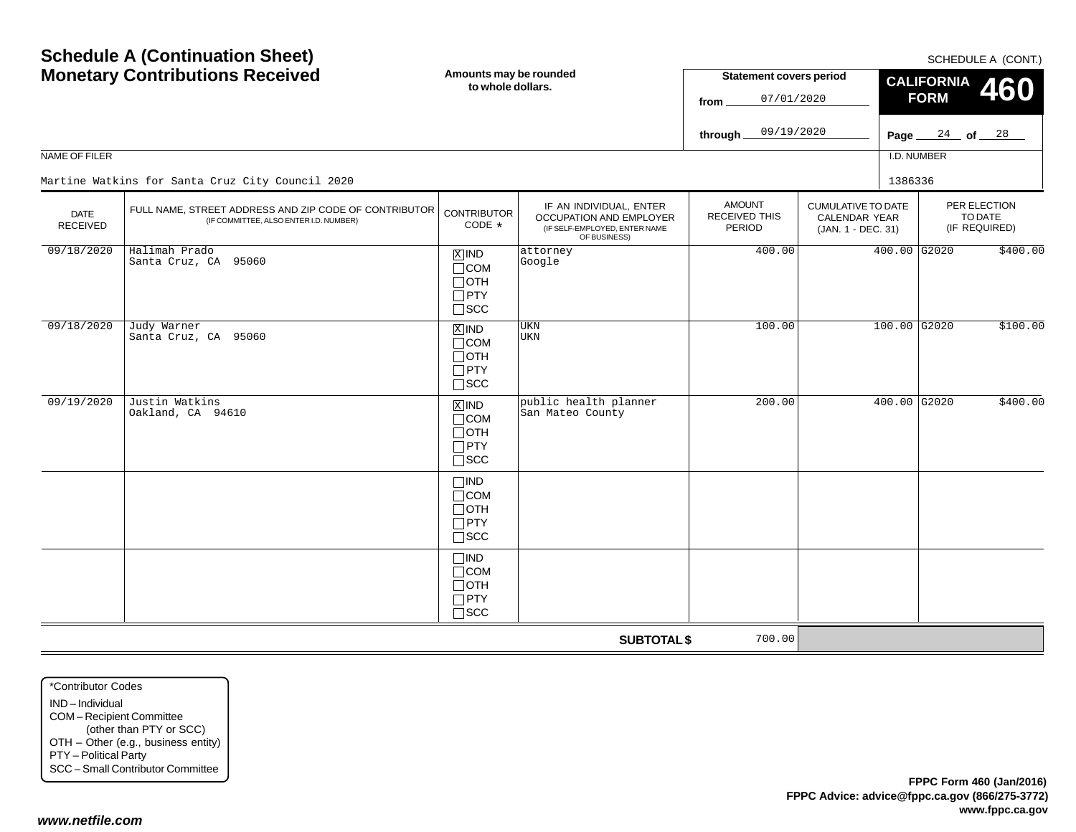|                                | <b>Schedule A (Continuation Sheet)</b><br><b>Monetary Contributions Received</b>                | Amounts may be rounded<br>to whole dollars.                          |                                                                                                     | <b>Statement covers period</b><br>07/01/2020<br>from<br>09/19/2020<br>through |                                                                         | Page $\_\$  | <b>CALIFORNIA</b><br><b>FORM</b> | SCHEDULE A (CONT.)<br>460<br>$\frac{24}{ }$ of $\frac{28}{ }$ |
|--------------------------------|-------------------------------------------------------------------------------------------------|----------------------------------------------------------------------|-----------------------------------------------------------------------------------------------------|-------------------------------------------------------------------------------|-------------------------------------------------------------------------|-------------|----------------------------------|---------------------------------------------------------------|
| NAME OF FILER                  |                                                                                                 |                                                                      |                                                                                                     |                                                                               |                                                                         | I.D. NUMBER |                                  |                                                               |
|                                | Martine Watkins for Santa Cruz City Council 2020                                                |                                                                      |                                                                                                     |                                                                               |                                                                         | 1386336     |                                  |                                                               |
| <b>DATE</b><br><b>RECEIVED</b> | FULL NAME, STREET ADDRESS AND ZIP CODE OF CONTRIBUTOR<br>(IF COMMITTEE, ALSO ENTER I.D. NUMBER) | <b>CONTRIBUTOR</b><br>CODE *                                         | IF AN INDIVIDUAL, ENTER<br>OCCUPATION AND EMPLOYER<br>(IF SELF-EMPLOYED, ENTER NAME<br>OF BUSINESS) | <b>AMOUNT</b><br><b>RECEIVED THIS</b><br>PERIOD                               | <b>CUMULATIVE TO DATE</b><br><b>CALENDAR YEAR</b><br>(JAN. 1 - DEC. 31) |             |                                  | PER ELECTION<br>TO DATE<br>(IF REQUIRED)                      |
| 09/18/2020                     | Halimah Prado<br>Santa Cruz, CA 95060                                                           | $X$ IND<br>$\Box$ COM<br>⊟отн<br>$\Box$ PTY<br>$\Box$<br><br>SCC     | attorney<br>Google                                                                                  | 400.00                                                                        |                                                                         |             | $400.00$ G2020                   | \$400.00                                                      |
| 09/18/2020                     | Judy Warner<br>Santa Cruz, CA 95060                                                             | $X$ IND<br>$\Box$ COM<br>$\Box$ OTH<br>$\Box$ PTY<br>$\square$ scc   | <b>UKN</b><br><b>UKN</b>                                                                            | 100.00                                                                        |                                                                         |             | $100.00$ G2020                   | \$100.00                                                      |
| 09/19/2020                     | Justin Watkins<br>Oakland, CA 94610                                                             | $X$ IND<br>$\Box$ COM<br>$\Box$ OTH<br>$\Box$ PTY<br>$\square$ scc   | public health planner<br>San Mateo County                                                           | 200.00                                                                        |                                                                         |             | $400.00$ G2020                   | \$400.00                                                      |
|                                |                                                                                                 | $\square$ IND<br>$\Box$ COM<br>∏ОТН<br>$\Box$ PTY<br>$\Box$ scc      |                                                                                                     |                                                                               |                                                                         |             |                                  |                                                               |
|                                |                                                                                                 | $\Box$ IND<br>$\Box$ COM<br>$\Box$ oth<br>$\Box$ PTY<br>$\sqcap$ SCC |                                                                                                     |                                                                               |                                                                         |             |                                  |                                                               |
|                                |                                                                                                 |                                                                      | <b>SUBTOTAL \$</b>                                                                                  | 700.00                                                                        |                                                                         |             |                                  |                                                               |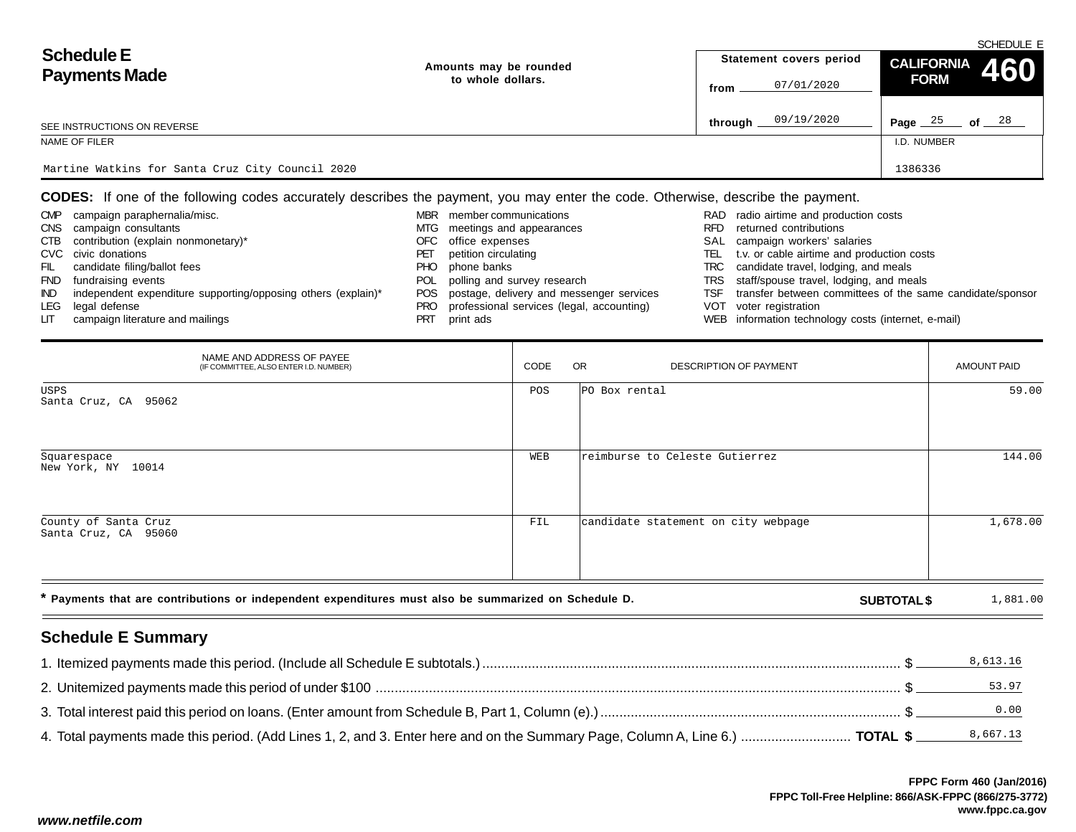|                                                  |                        |                         | SCHEDULE E                 |
|--------------------------------------------------|------------------------|-------------------------|----------------------------|
| <b>Schedule E</b>                                | Amounts may be rounded | Statement covers period | CALIFORNIA 460             |
| <b>Payments Made</b>                             | to whole dollars.      | 07/01/2020<br>from      | <b>FORM</b>                |
| SEE INSTRUCTIONS ON REVERSE                      |                        | 09/19/2020<br>through _ | 25<br>of $^{28}$<br>Page _ |
| NAME OF FILER                                    |                        |                         | I.D. NUMBER                |
|                                                  |                        |                         |                            |
| Martine Watkins for Santa Cruz City Council 2020 |                        |                         | 1386336                    |

**CODES:** If one of the following codes accurately describes the payment, you may enter the code. Otherwise, describe the payment.

| radio airtime and production costs<br>campaign paraphernalia/misc.<br><b>CMP</b><br>member communications<br><b>MBR</b><br>RAD<br>returned contributions<br>CNS campaign consultants<br>meetings and appearances<br>MTG.<br><b>RFD</b> |  |
|----------------------------------------------------------------------------------------------------------------------------------------------------------------------------------------------------------------------------------------|--|
|                                                                                                                                                                                                                                        |  |
|                                                                                                                                                                                                                                        |  |
| CTB contribution (explain nonmonetary)*<br>SAL campaign workers' salaries<br>office expenses<br>OFC.                                                                                                                                   |  |
| t.v. or cable airtime and production costs<br>CVC civic donations<br>petition circulating<br>TEL.<br>PET                                                                                                                               |  |
| candidate filing/ballot fees<br>TRC candidate travel, lodging, and meals<br>phone banks<br>PHO<br>FIL.                                                                                                                                 |  |
| TRS staff/spouse travel, lodging, and meals<br>polling and survey research<br>fundraising events<br>POL<br><b>FND</b>                                                                                                                  |  |
| independent expenditure supporting/opposing others (explain)*<br>transfer between committees of the same candidate/sponsor<br>POS postage, delivery and messenger services<br>IND.<br>TSF.                                             |  |
| professional services (legal, accounting)<br>legal defense<br>VOT voter registration<br>LEG<br>PRO.                                                                                                                                    |  |
| WEB information technology costs (internet, e-mail)<br>campaign literature and mailings<br><b>PRT</b><br>print ads<br>LIT.                                                                                                             |  |

| NAME AND ADDRESS OF PAYEE<br>(IF COMMITTEE, ALSO ENTER I.D. NUMBER)                                  | CODE | <b>OR</b><br><b>DESCRIPTION OF PAYMENT</b> | <b>AMOUNT PAID</b> |
|------------------------------------------------------------------------------------------------------|------|--------------------------------------------|--------------------|
| USPS<br>Santa Cruz, CA 95062                                                                         | POS  | PO Box rental                              | 59.00              |
| Squarespace<br>New York, NY 10014                                                                    | WEB  | reimburse to Celeste Gutierrez             | 144.00             |
| County of Santa Cruz<br>Santa Cruz, CA 95060                                                         | FIL  | candidate statement on city webpage        | 1,678.00           |
| * Payments that are contributions or independent expenditures must also be summarized on Schedule D. |      | <b>SUBTOTAL \$</b>                         | 1,881.00           |

# **Schedule E Summary**

|                                                                                                                              | 8,613.16 |
|------------------------------------------------------------------------------------------------------------------------------|----------|
|                                                                                                                              | 53.97    |
|                                                                                                                              | 0.00     |
| 4. Total payments made this period. (Add Lines 1, 2, and 3. Enter here and on the Summary Page, Column A, Line 6.)  TOTAL \$ | 8,667.13 |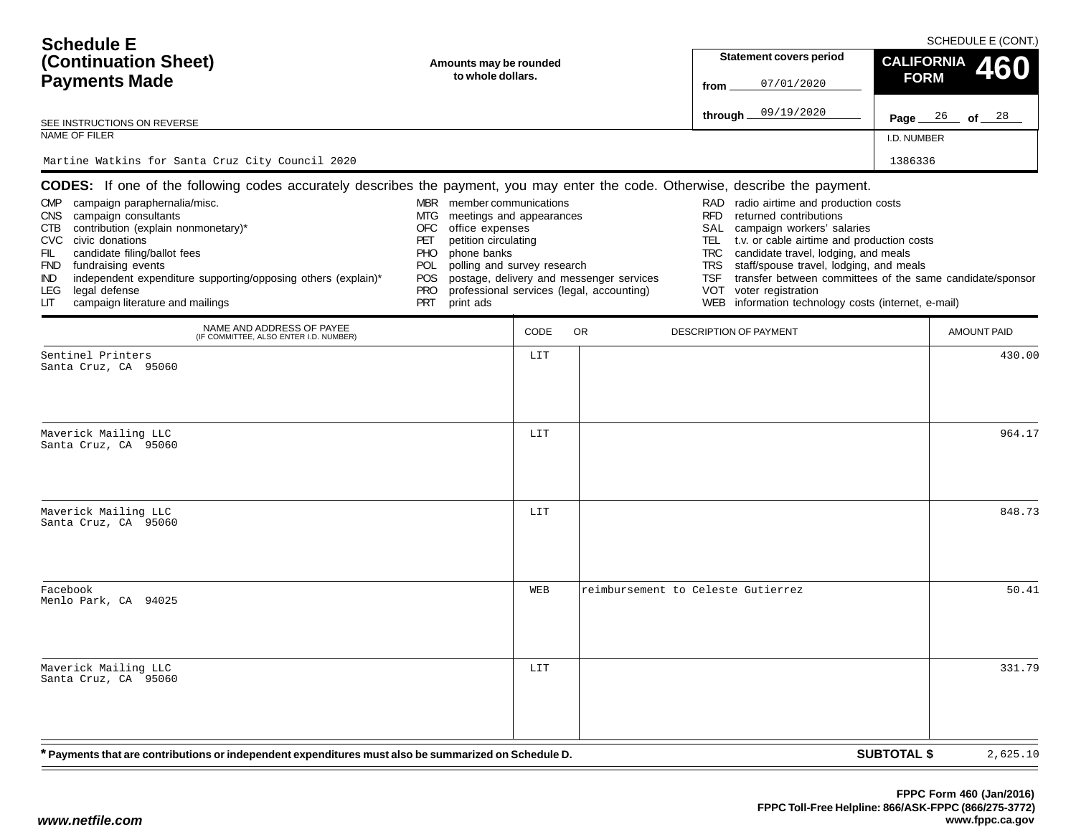| <b>Schedule E</b><br>(Continuation Sheet)<br><b>Payments Made</b><br>SEE INSTRUCTIONS ON REVERSE<br>NAME OF FILER<br>Martine Watkins for Santa Cruz City Council 2020                                                                                                                                                                                          | Amounts may be rounded<br>to whole dollars.                                                                                                                                                                                         |      |                                                                                       | Statement covers period<br>07/01/2020<br>from<br>09/19/2020<br>through $\overline{\phantom{a}}$                                                                                                                                                                                                                                                                                                         | SCHEDULE E (CONT.)<br><b>CALIFORNIA</b><br>460<br><b>FORM</b><br>Page $26$ of $28$<br>I.D. NUMBER<br>1386336 |        |
|----------------------------------------------------------------------------------------------------------------------------------------------------------------------------------------------------------------------------------------------------------------------------------------------------------------------------------------------------------------|-------------------------------------------------------------------------------------------------------------------------------------------------------------------------------------------------------------------------------------|------|---------------------------------------------------------------------------------------|---------------------------------------------------------------------------------------------------------------------------------------------------------------------------------------------------------------------------------------------------------------------------------------------------------------------------------------------------------------------------------------------------------|--------------------------------------------------------------------------------------------------------------|--------|
| CODES: If one of the following codes accurately describes the payment, you may enter the code. Otherwise, describe the payment.                                                                                                                                                                                                                                |                                                                                                                                                                                                                                     |      |                                                                                       |                                                                                                                                                                                                                                                                                                                                                                                                         |                                                                                                              |        |
| campaign paraphernalia/misc.<br><b>CMP</b><br>campaign consultants<br>CNS .<br>contribution (explain nonmonetary)*<br>CTB<br>CVC civic donations<br>FIL<br>candidate filing/ballot fees<br>FND fundraising events<br>independent expenditure supporting/opposing others (explain)*<br>IND.<br>legal defense<br>LEG.<br>campaign literature and mailings<br>LIТ | MBR member communications<br>meetings and appearances<br>MTG<br>OFC<br>office expenses<br>petition circulating<br>PET<br>phone banks<br>PHO.<br>polling and survey research<br>POL.<br>POS<br><b>PRO</b><br><b>PRT</b><br>print ads |      | postage, delivery and messenger services<br>professional services (legal, accounting) | radio airtime and production costs<br>RAD<br><b>RFD</b><br>returned contributions<br>campaign workers' salaries<br>SAL<br>t.v. or cable airtime and production costs<br>TEL.<br>candidate travel, lodging, and meals<br><b>TRC</b><br>staff/spouse travel, lodging, and meals<br><b>TRS</b><br>TSF<br><b>VOT</b><br>voter registration<br>information technology costs (internet, e-mail)<br><b>WEB</b> | transfer between committees of the same candidate/sponsor                                                    |        |
| NAME AND ADDRESS OF PAYEE<br>(IF COMMITTEE, ALSO ENTER I.D. NUMBER)                                                                                                                                                                                                                                                                                            |                                                                                                                                                                                                                                     | CODE | OR.                                                                                   | DESCRIPTION OF PAYMENT                                                                                                                                                                                                                                                                                                                                                                                  | <b>AMOUNT PAID</b>                                                                                           |        |
| Sentinel Printers<br>Santa Cruz, CA 95060                                                                                                                                                                                                                                                                                                                      |                                                                                                                                                                                                                                     | LIT  |                                                                                       |                                                                                                                                                                                                                                                                                                                                                                                                         |                                                                                                              | 430.00 |
| Maverick Mailing LLC<br>Santa Cruz, CA 95060                                                                                                                                                                                                                                                                                                                   |                                                                                                                                                                                                                                     | LIT  |                                                                                       |                                                                                                                                                                                                                                                                                                                                                                                                         |                                                                                                              | 964.17 |
| Maverick Mailing LLC<br>Santa Cruz, CA 95060                                                                                                                                                                                                                                                                                                                   |                                                                                                                                                                                                                                     | LIT  |                                                                                       |                                                                                                                                                                                                                                                                                                                                                                                                         |                                                                                                              | 848.73 |
| Facebook<br>Menlo Park, CA 94025                                                                                                                                                                                                                                                                                                                               |                                                                                                                                                                                                                                     | WEB  |                                                                                       | reimbursement to Celeste Gutierrez                                                                                                                                                                                                                                                                                                                                                                      |                                                                                                              | 50.41  |
| Maverick Mailing LLC<br>Santa Cruz, CA 95060                                                                                                                                                                                                                                                                                                                   |                                                                                                                                                                                                                                     | LIT  |                                                                                       |                                                                                                                                                                                                                                                                                                                                                                                                         |                                                                                                              | 331.79 |
| * Payments that are contributions or independent expenditures must also be summarized on Schedule D.                                                                                                                                                                                                                                                           |                                                                                                                                                                                                                                     |      |                                                                                       |                                                                                                                                                                                                                                                                                                                                                                                                         | <b>SUBTOTAL \$</b><br>2,625.10                                                                               |        |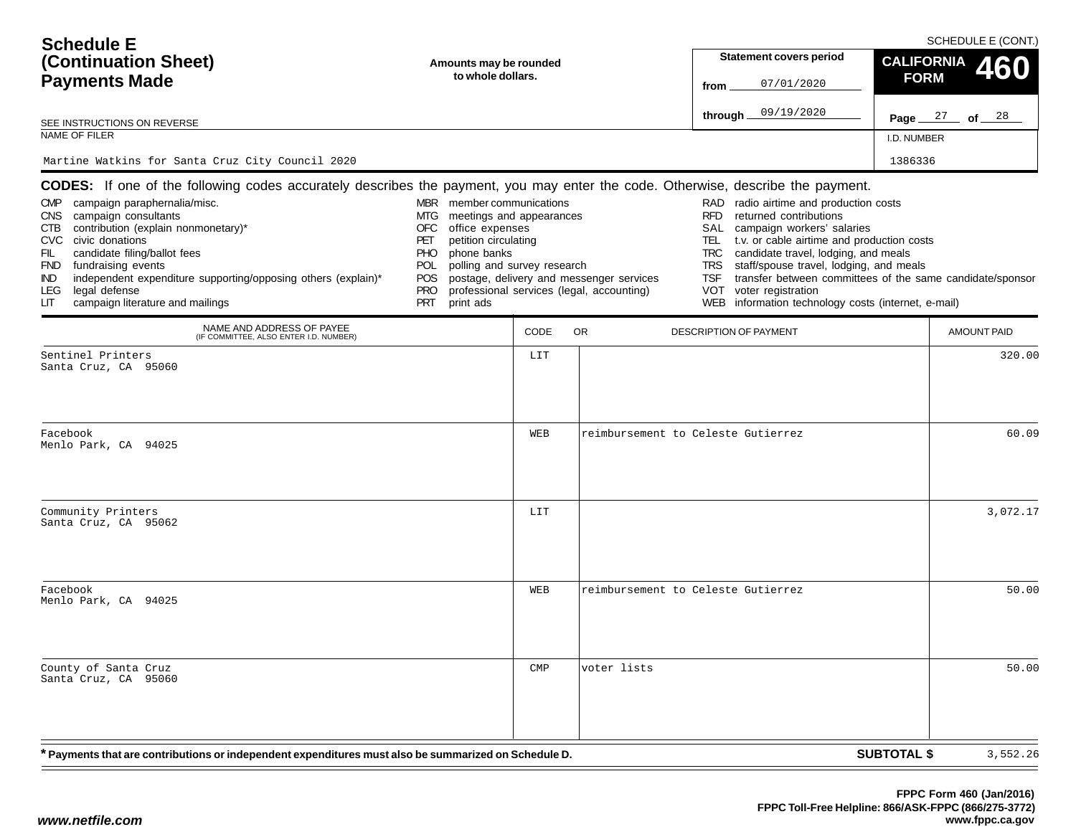| <b>Schedule E</b>                                                                                                                                                                                                                                                                                                                               |                                                                                                                                                                                                                                            |                        |                                                                                       | SCHEDULE E (CONT.)                                                                                                                                                                                                                                                                                                                                                                                                                                      |                    |                    |  |  |
|-------------------------------------------------------------------------------------------------------------------------------------------------------------------------------------------------------------------------------------------------------------------------------------------------------------------------------------------------|--------------------------------------------------------------------------------------------------------------------------------------------------------------------------------------------------------------------------------------------|------------------------|---------------------------------------------------------------------------------------|---------------------------------------------------------------------------------------------------------------------------------------------------------------------------------------------------------------------------------------------------------------------------------------------------------------------------------------------------------------------------------------------------------------------------------------------------------|--------------------|--------------------|--|--|
| (Continuation Sheet)                                                                                                                                                                                                                                                                                                                            |                                                                                                                                                                                                                                            | Amounts may be rounded |                                                                                       |                                                                                                                                                                                                                                                                                                                                                                                                                                                         | <b>CALIFORNIA</b>  | 60                 |  |  |
| <b>Payments Made</b>                                                                                                                                                                                                                                                                                                                            | to whole dollars.                                                                                                                                                                                                                          |                        |                                                                                       | 07/01/2020<br>from                                                                                                                                                                                                                                                                                                                                                                                                                                      | <b>FORM</b>        |                    |  |  |
| SEE INSTRUCTIONS ON REVERSE                                                                                                                                                                                                                                                                                                                     |                                                                                                                                                                                                                                            |                        |                                                                                       | 09/19/2020<br>through                                                                                                                                                                                                                                                                                                                                                                                                                                   | Page $27$ of $28$  |                    |  |  |
| NAME OF FILER                                                                                                                                                                                                                                                                                                                                   |                                                                                                                                                                                                                                            |                        |                                                                                       |                                                                                                                                                                                                                                                                                                                                                                                                                                                         | I.D. NUMBER        |                    |  |  |
| Martine Watkins for Santa Cruz City Council 2020                                                                                                                                                                                                                                                                                                |                                                                                                                                                                                                                                            |                        |                                                                                       |                                                                                                                                                                                                                                                                                                                                                                                                                                                         | 1386336            |                    |  |  |
| <b>CODES:</b> If one of the following codes accurately describes the payment, you may enter the code. Otherwise, describe the payment.                                                                                                                                                                                                          |                                                                                                                                                                                                                                            |                        |                                                                                       |                                                                                                                                                                                                                                                                                                                                                                                                                                                         |                    |                    |  |  |
| CMP campaign paraphernalia/misc.<br>CNS campaign consultants<br>contribution (explain nonmonetary)*<br>CTB<br>CVC civic donations<br>FIL<br>candidate filing/ballot fees<br>FND fundraising events<br>independent expenditure supporting/opposing others (explain)*<br>IND.<br>legal defense<br>LEG.<br>campaign literature and mailings<br>LІТ | MBR member communications<br>MTG.<br>meetings and appearances<br>OFC<br>office expenses<br>petition circulating<br>PET<br>phone banks<br>PHO.<br>polling and survey research<br><b>POL</b><br>POS<br><b>PRO</b><br><b>PRT</b><br>print ads |                        | postage, delivery and messenger services<br>professional services (legal, accounting) | RAD radio airtime and production costs<br>returned contributions<br><b>RFD</b><br>SAL<br>campaign workers' salaries<br>TEL.<br>t.v. or cable airtime and production costs<br>candidate travel, lodging, and meals<br><b>TRC</b><br>staff/spouse travel, lodging, and meals<br><b>TRS</b><br>transfer between committees of the same candidate/sponsor<br><b>TSF</b><br>VOT<br>voter registration<br>WEB information technology costs (internet, e-mail) |                    |                    |  |  |
| NAME AND ADDRESS OF PAYEE<br>(IF COMMITTEE, ALSO ENTER I.D. NUMBER)                                                                                                                                                                                                                                                                             |                                                                                                                                                                                                                                            | CODE                   | <b>OR</b>                                                                             | DESCRIPTION OF PAYMENT                                                                                                                                                                                                                                                                                                                                                                                                                                  |                    | <b>AMOUNT PAID</b> |  |  |
| Sentinel Printers<br>Santa Cruz, CA 95060                                                                                                                                                                                                                                                                                                       |                                                                                                                                                                                                                                            | LIT                    |                                                                                       |                                                                                                                                                                                                                                                                                                                                                                                                                                                         |                    | 320.00             |  |  |
| Facebook<br>Menlo Park, CA 94025                                                                                                                                                                                                                                                                                                                |                                                                                                                                                                                                                                            | WEB                    |                                                                                       | reimbursement to Celeste Gutierrez                                                                                                                                                                                                                                                                                                                                                                                                                      |                    | 60.09              |  |  |
| Community Printers<br>Santa Cruz, CA 95062                                                                                                                                                                                                                                                                                                      |                                                                                                                                                                                                                                            | LIT                    |                                                                                       |                                                                                                                                                                                                                                                                                                                                                                                                                                                         |                    | 3,072.17           |  |  |
| Facebook<br>Menlo Park, CA 94025                                                                                                                                                                                                                                                                                                                |                                                                                                                                                                                                                                            | WEB                    |                                                                                       | reimbursement to Celeste Gutierrez                                                                                                                                                                                                                                                                                                                                                                                                                      |                    | 50.00              |  |  |
| County of Santa Cruz<br>Santa Cruz, CA 95060                                                                                                                                                                                                                                                                                                    |                                                                                                                                                                                                                                            | $\texttt{CMP}$         | voter lists                                                                           |                                                                                                                                                                                                                                                                                                                                                                                                                                                         |                    | 50.00              |  |  |
| * Payments that are contributions or independent expenditures must also be summarized on Schedule D.                                                                                                                                                                                                                                            |                                                                                                                                                                                                                                            |                        |                                                                                       |                                                                                                                                                                                                                                                                                                                                                                                                                                                         | <b>SUBTOTAL \$</b> | 3,552.26           |  |  |